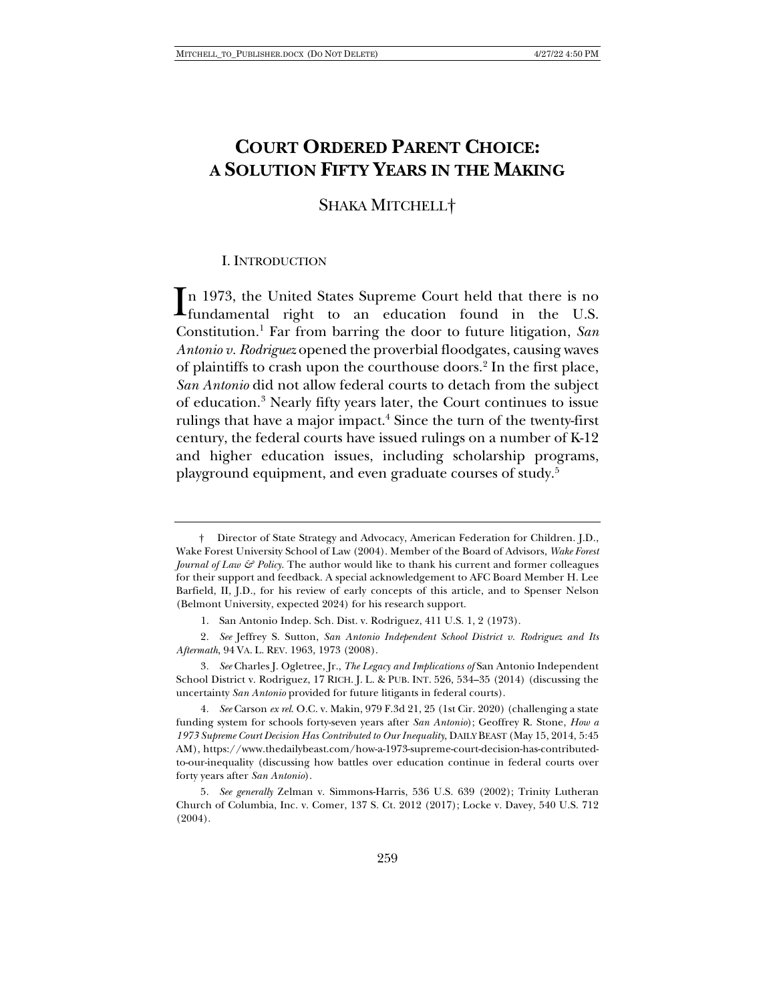# **COURT ORDERED PARENT CHOICE: A SOLUTION FIFTY YEARS IN THE MAKING**

SHAKA MITCHELL†

## I. INTRODUCTION

n 1973, the United States Supreme Court held that there is no  $\prod_{\text{fundamental right}}$  to an education found in the U.S. Constitution.1 Far from barring the door to future litigation, *San Antonio v. Rodriguez* opened the proverbial floodgates, causing waves of plaintiffs to crash upon the courthouse doors.2 In the first place, *San Antonio* did not allow federal courts to detach from the subject of education.3 Nearly fifty years later, the Court continues to issue rulings that have a major impact.<sup>4</sup> Since the turn of the twenty-first century, the federal courts have issued rulings on a number of K-12 and higher education issues, including scholarship programs, playground equipment, and even graduate courses of study.5

<sup>†</sup> Director of State Strategy and Advocacy, American Federation for Children. J.D., Wake Forest University School of Law (2004). Member of the Board of Advisors, *Wake Forest Journal of Law & Policy*. The author would like to thank his current and former colleagues for their support and feedback. A special acknowledgement to AFC Board Member H. Lee Barfield, II, J.D., for his review of early concepts of this article, and to Spenser Nelson (Belmont University, expected 2024) for his research support.

<sup>1.</sup> San Antonio Indep. Sch. Dist. v. Rodriguez, 411 U.S. 1, 2 (1973).

<sup>2</sup>*. See* Jeffrey S. Sutton, *San Antonio Independent School District v. Rodriguez and Its Aftermath*, 94 VA. L. REV. 1963, 1973 (2008).

<sup>3</sup>*. See* Charles J. Ogletree, Jr., *The Legacy and Implications of* San Antonio Independent School District v. Rodriguez, 17 RICH. J. L. & PUB. INT. 526, 534–35 (2014) (discussing the uncertainty *San Antonio* provided for future litigants in federal courts).

<sup>4</sup>*. See* Carson *ex rel*. O.C. v. Makin, 979 F.3d 21, 25 (1st Cir. 2020) (challenging a state funding system for schools forty-seven years after *San Antonio*); Geoffrey R. Stone, *How a 1973 Supreme Court Decision Has Contributed to Our Inequality*, DAILY BEAST (May 15, 2014, 5:45 AM), https://www.thedailybeast.com/how-a-1973-supreme-court-decision-has-contributedto-our-inequality (discussing how battles over education continue in federal courts over forty years after *San Antonio*).

<sup>5</sup>*. See generally* Zelman v. Simmons-Harris, 536 U.S. 639 (2002); Trinity Lutheran Church of Columbia, Inc. v. Comer, 137 S. Ct. 2012 (2017); Locke v. Davey, 540 U.S. 712 (2004).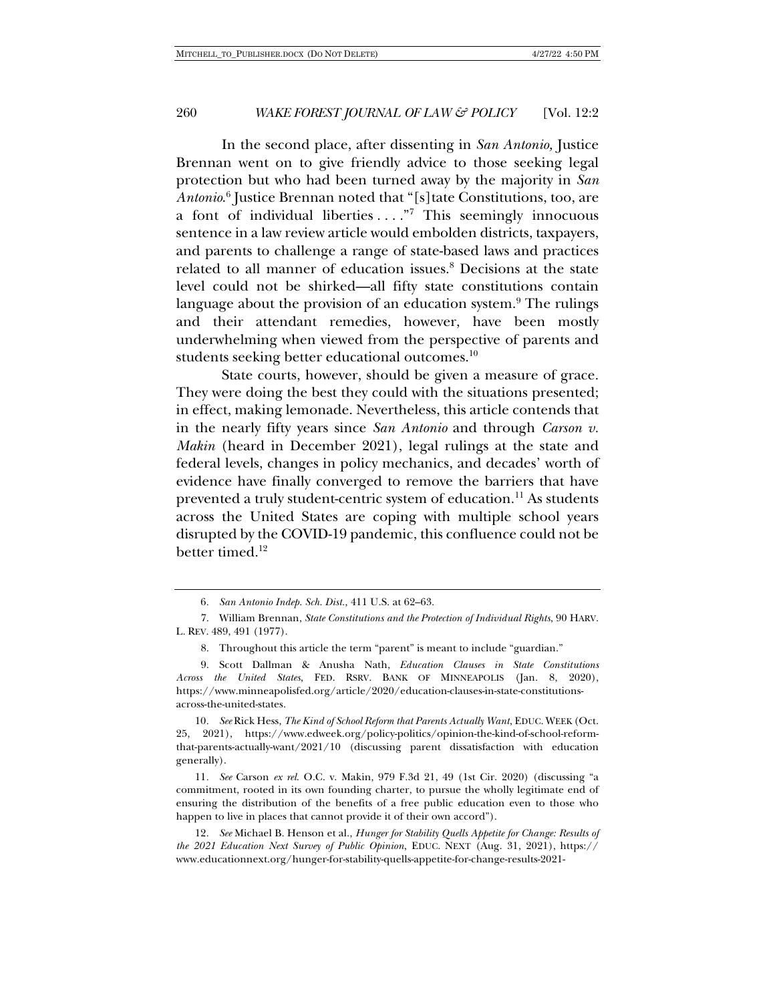In the second place, after dissenting in *San Antonio,* Justice Brennan went on to give friendly advice to those seeking legal protection but who had been turned away by the majority in *San Antonio*. <sup>6</sup> Justice Brennan noted that "[s]tate Constitutions, too, are a font of individual liberties  $\dots$ ."<sup>7</sup> This seemingly innocuous sentence in a law review article would embolden districts, taxpayers, and parents to challenge a range of state-based laws and practices related to all manner of education issues.<sup>8</sup> Decisions at the state level could not be shirked—all fifty state constitutions contain language about the provision of an education system.<sup>9</sup> The rulings and their attendant remedies, however, have been mostly underwhelming when viewed from the perspective of parents and students seeking better educational outcomes.<sup>10</sup>

State courts, however, should be given a measure of grace. They were doing the best they could with the situations presented; in effect, making lemonade. Nevertheless, this article contends that in the nearly fifty years since *San Antonio* and through *Carson v. Makin* (heard in December 2021), legal rulings at the state and federal levels, changes in policy mechanics, and decades' worth of evidence have finally converged to remove the barriers that have prevented a truly student-centric system of education.<sup>11</sup> As students across the United States are coping with multiple school years disrupted by the COVID-19 pandemic, this confluence could not be better timed.<sup>12</sup>

6*. San Antonio Indep. Sch. Dist.*, 411 U.S. at 62–63.

7. William Brennan, *State Constitutions and the Protection of Individual Rights*, 90 HARV. L. REV. 489, 491 (1977).

8. Throughout this article the term "parent" is meant to include "guardian."

9. Scott Dallman & Anusha Nath, *Education Clauses in State Constitutions Across the United States*, FED. RSRV. BANK OF MINNEAPOLIS (Jan. 8, 2020), https://www.minneapolisfed.org/article/2020/education-clauses-in-state-constitutionsacross-the-united-states.

10*. See* Rick Hess, *The Kind of School Reform that Parents Actually Want*, EDUC. WEEK (Oct. 25, 2021), https://www.edweek.org/policy-politics/opinion-the-kind-of-school-reformthat-parents-actually-want/2021/10 (discussing parent dissatisfaction with education generally).

11*. See* Carson *ex rel*. O.C. v. Makin, 979 F.3d 21, 49 (1st Cir. 2020) (discussing "a commitment, rooted in its own founding charter, to pursue the wholly legitimate end of ensuring the distribution of the benefits of a free public education even to those who happen to live in places that cannot provide it of their own accord").

12*. See* Michael B. Henson et al., *Hunger for Stability Quells Appetite for Change: Results of the 2021 Education Next Survey of Public Opinion*, EDUC. NEXT (Aug. 31, 2021), https:// www.educationnext.org/hunger-for-stability-quells-appetite-for-change-results-2021-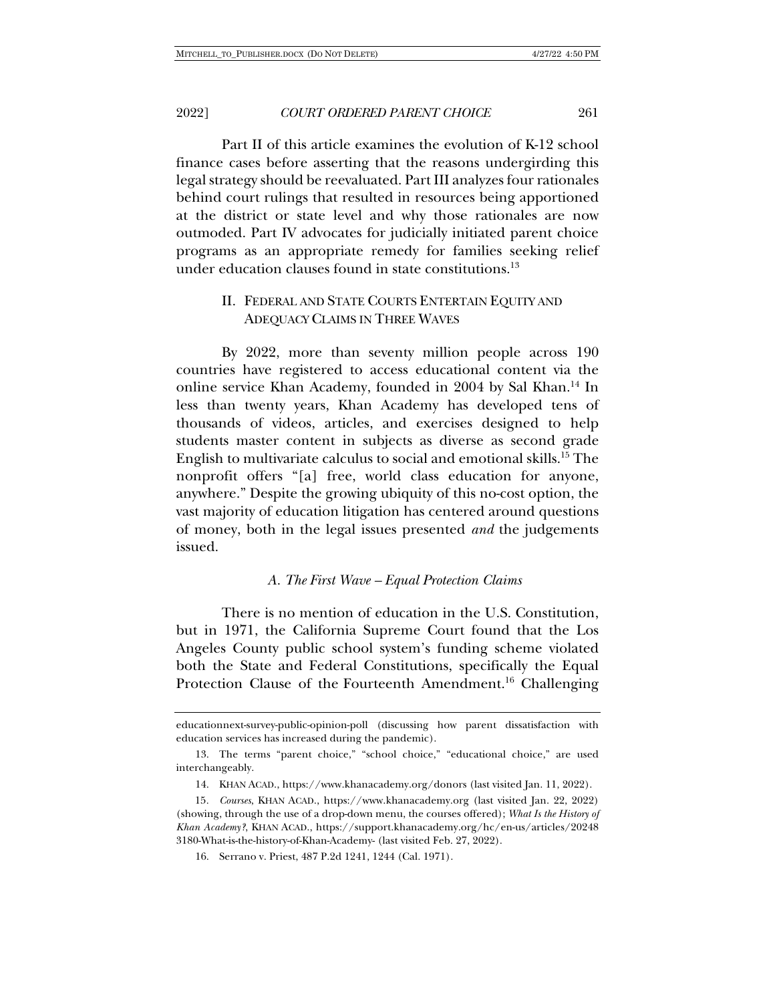Part II of this article examines the evolution of K-12 school finance cases before asserting that the reasons undergirding this legal strategy should be reevaluated. Part III analyzes four rationales behind court rulings that resulted in resources being apportioned at the district or state level and why those rationales are now outmoded. Part IV advocates for judicially initiated parent choice programs as an appropriate remedy for families seeking relief under education clauses found in state constitutions. $^{13}$ 

## II. FEDERAL AND STATE COURTS ENTERTAIN EQUITY AND ADEQUACY CLAIMS IN THREE WAVES

By 2022, more than seventy million people across 190 countries have registered to access educational content via the online service Khan Academy, founded in 2004 by Sal Khan.<sup>14</sup> In less than twenty years, Khan Academy has developed tens of thousands of videos, articles, and exercises designed to help students master content in subjects as diverse as second grade English to multivariate calculus to social and emotional skills.15 The nonprofit offers "[a] free, world class education for anyone, anywhere." Despite the growing ubiquity of this no-cost option, the vast majority of education litigation has centered around questions of money, both in the legal issues presented *and* the judgements issued.

#### *A. The First Wave – Equal Protection Claims*

There is no mention of education in the U.S. Constitution, but in 1971, the California Supreme Court found that the Los Angeles County public school system's funding scheme violated both the State and Federal Constitutions, specifically the Equal Protection Clause of the Fourteenth Amendment.<sup>16</sup> Challenging

educationnext-survey-public-opinion-poll (discussing how parent dissatisfaction with education services has increased during the pandemic).

<sup>13.</sup> The terms "parent choice," "school choice," "educational choice," are used interchangeably.

<sup>14.</sup> KHAN ACAD., https://www.khanacademy.org/donors (last visited Jan. 11, 2022).

<sup>15</sup>*. Courses*, KHAN ACAD., https://www.khanacademy.org (last visited Jan. 22, 2022) (showing, through the use of a drop-down menu, the courses offered); *What Is the History of Khan Academy?*, KHAN ACAD., https://support.khanacademy.org/hc/en-us/articles/20248 3180-What-is-the-history-of-Khan-Academy- (last visited Feb. 27, 2022).

<sup>16.</sup> Serrano v. Priest, 487 P.2d 1241, 1244 (Cal. 1971).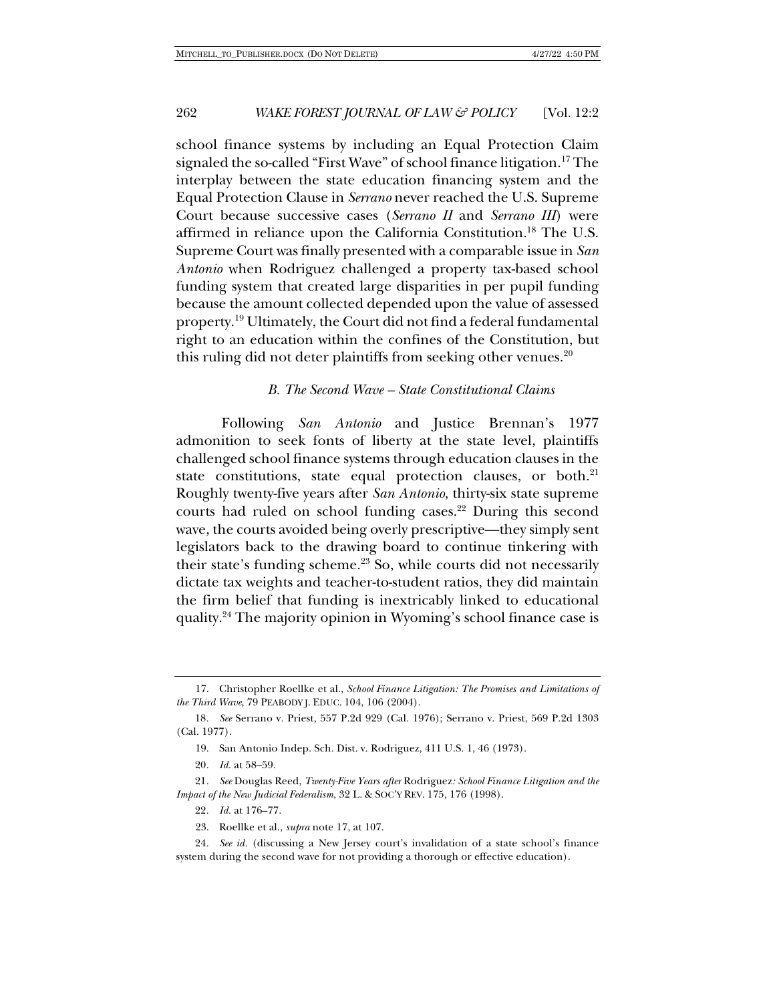school finance systems by including an Equal Protection Claim signaled the so-called "First Wave" of school finance litigation.<sup>17</sup> The interplay between the state education financing system and the Equal Protection Clause in *Serrano* never reached the U.S. Supreme Court because successive cases (*Serrano II* and *Serrano III*) were affirmed in reliance upon the California Constitution.18 The U.S. Supreme Court was finally presented with a comparable issue in *San Antonio* when Rodriguez challenged a property tax-based school funding system that created large disparities in per pupil funding because the amount collected depended upon the value of assessed property.19 Ultimately, the Court did not find a federal fundamental right to an education within the confines of the Constitution, but this ruling did not deter plaintiffs from seeking other venues.<sup>20</sup>

### *B. The Second Wave – State Constitutional Claims*

Following *San Antonio* and Justice Brennan's 1977 admonition to seek fonts of liberty at the state level, plaintiffs challenged school finance systems through education clauses in the state constitutions, state equal protection clauses, or both.<sup>21</sup> Roughly twenty-five years after *San Antonio*, thirty-six state supreme courts had ruled on school funding cases.<sup>22</sup> During this second wave, the courts avoided being overly prescriptive—they simply sent legislators back to the drawing board to continue tinkering with their state's funding scheme.<sup>23</sup> So, while courts did not necessarily dictate tax weights and teacher-to-student ratios, they did maintain the firm belief that funding is inextricably linked to educational quality.24 The majority opinion in Wyoming's school finance case is

<sup>17.</sup> Christopher Roellke et al., *School Finance Litigation: The Promises and Limitations of the Third Wave*, 79 PEABODY J. EDUC. 104, 106 (2004).

<sup>18</sup>*. See* Serrano v. Priest, 557 P.2d 929 (Cal. 1976); Serrano v. Priest, 569 P.2d 1303 (Cal. 1977).

<sup>19.</sup> San Antonio Indep. Sch. Dist. v. Rodriguez, 411 U.S. 1, 46 (1973).

<sup>20</sup>*. Id.* at 58–59.

<sup>21</sup>*. See* Douglas Reed, *Twenty-Five Years after* Rodriguez*: School Finance Litigation and the Impact of the New Judicial Federalism*, 32 L. & SOC'Y REV. 175, 176 (1998).

<sup>22</sup>*. Id.* at 176–77.

<sup>23.</sup> Roellke et al., *supra* note 17, at 107.

<sup>24</sup>*. See id.* (discussing a New Jersey court's invalidation of a state school's finance system during the second wave for not providing a thorough or effective education).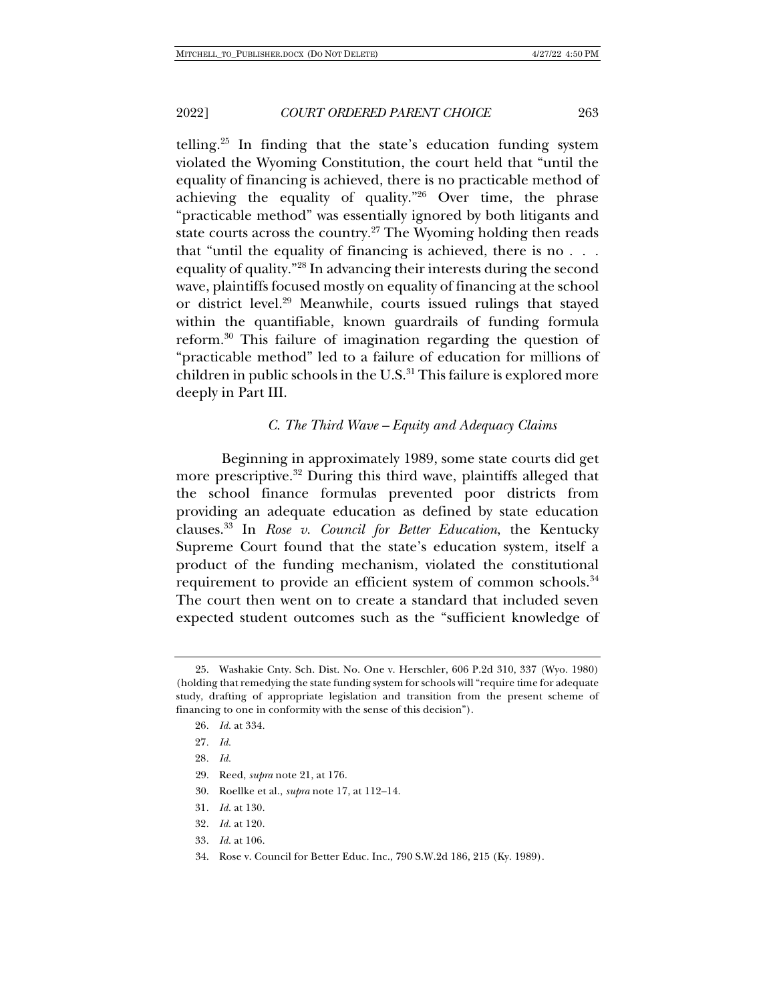telling.<sup>25</sup> In finding that the state's education funding system violated the Wyoming Constitution, the court held that "until the equality of financing is achieved, there is no practicable method of achieving the equality of quality."26 Over time, the phrase "practicable method" was essentially ignored by both litigants and state courts across the country.<sup>27</sup> The Wyoming holding then reads that "until the equality of financing is achieved, there is no . . . equality of quality."28 In advancing their interests during the second wave, plaintiffs focused mostly on equality of financing at the school or district level.29 Meanwhile, courts issued rulings that stayed within the quantifiable, known guardrails of funding formula reform.30 This failure of imagination regarding the question of "practicable method" led to a failure of education for millions of children in public schools in the U.S.<sup>31</sup> This failure is explored more deeply in Part III.

#### *C. The Third Wave – Equity and Adequacy Claims*

Beginning in approximately 1989, some state courts did get more prescriptive.<sup>32</sup> During this third wave, plaintiffs alleged that the school finance formulas prevented poor districts from providing an adequate education as defined by state education clauses.33 In *Rose v. Council for Better Education*, the Kentucky Supreme Court found that the state's education system, itself a product of the funding mechanism, violated the constitutional requirement to provide an efficient system of common schools.<sup>34</sup> The court then went on to create a standard that included seven expected student outcomes such as the "sufficient knowledge of

- 29. Reed, *supra* note 21, at 176.
- 30. Roellke et al., *supra* note 17, at 112–14.
- 31*. Id.* at 130.
- 32*. Id.* at 120.
- 33*. Id.* at 106.
- 34. Rose v. Council for Better Educ. Inc., 790 S.W.2d 186, 215 (Ky. 1989).

<sup>25.</sup> Washakie Cnty. Sch. Dist. No. One v. Herschler, 606 P.2d 310, 337 (Wyo. 1980) (holding that remedying the state funding system for schools will "require time for adequate study, drafting of appropriate legislation and transition from the present scheme of financing to one in conformity with the sense of this decision").

<sup>26</sup>*. Id.* at 334.

<sup>27</sup>*. Id.*

<sup>28</sup>*. Id.*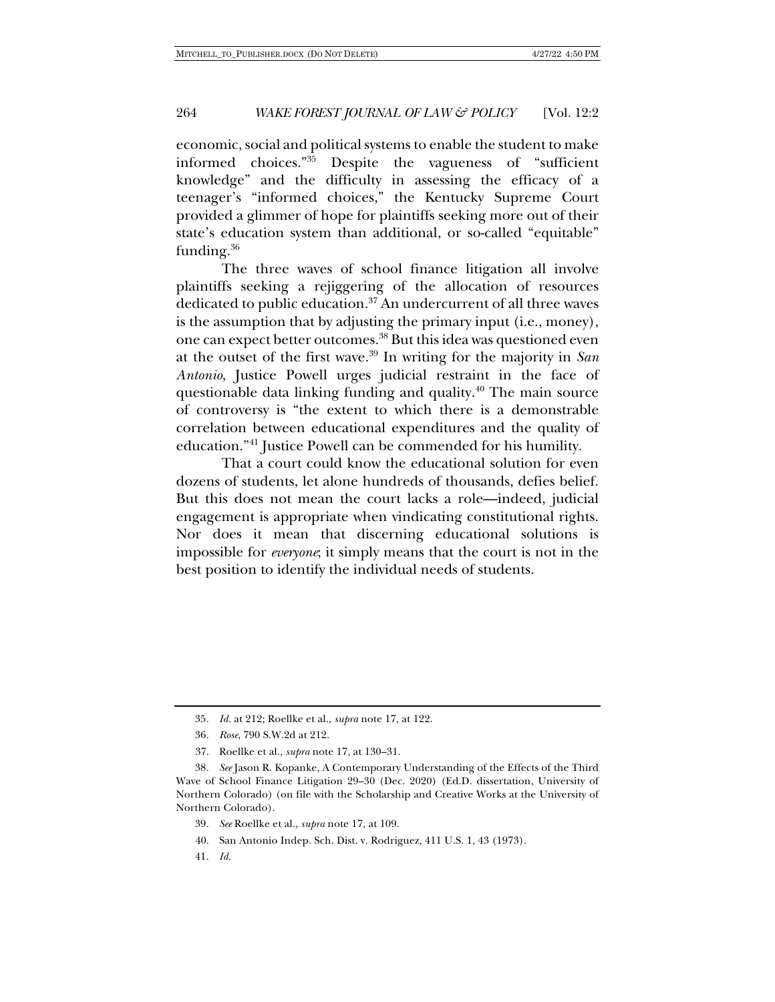economic, social and political systems to enable the student to make<br>informed choices."<sup>35</sup> Despite the vagueness of "sufficient Despite the vagueness of "sufficient" knowledge" and the difficulty in assessing the efficacy of a teenager's "informed choices," the Kentucky Supreme Court provided a glimmer of hope for plaintiffs seeking more out of their state's education system than additional, or so-called "equitable" funding.36

The three waves of school finance litigation all involve plaintiffs seeking a rejiggering of the allocation of resources dedicated to public education.<sup>37</sup> An undercurrent of all three waves is the assumption that by adjusting the primary input (i.e., money), one can expect better outcomes.38 But this idea was questioned even at the outset of the first wave.39 In writing for the majority in *San Antonio*, Justice Powell urges judicial restraint in the face of questionable data linking funding and quality.40 The main source of controversy is "the extent to which there is a demonstrable correlation between educational expenditures and the quality of education."41 Justice Powell can be commended for his humility.

That a court could know the educational solution for even dozens of students, let alone hundreds of thousands, defies belief. But this does not mean the court lacks a role—indeed, judicial engagement is appropriate when vindicating constitutional rights. Nor does it mean that discerning educational solutions is impossible for *everyone*; it simply means that the court is not in the best position to identify the individual needs of students.

- 36*. Rose*, 790 S.W.2d at 212.
- 37. Roellke et al., *supra* note 17, at 130–31.

<sup>35</sup>*. Id.* at 212; Roellke et al., *supra* note 17, at 122.

<sup>38</sup>*. See* Jason R. Kopanke, A Contemporary Understanding of the Effects of the Third Wave of School Finance Litigation 29–30 (Dec. 2020) (Ed.D. dissertation, University of Northern Colorado) (on file with the Scholarship and Creative Works at the University of Northern Colorado).

<sup>39</sup>*. See* Roellke et al., *supra* note 17, at 109.

<sup>40.</sup> San Antonio Indep. Sch. Dist. v. Rodriguez, 411 U.S. 1, 43 (1973).

<sup>41</sup>*. Id.*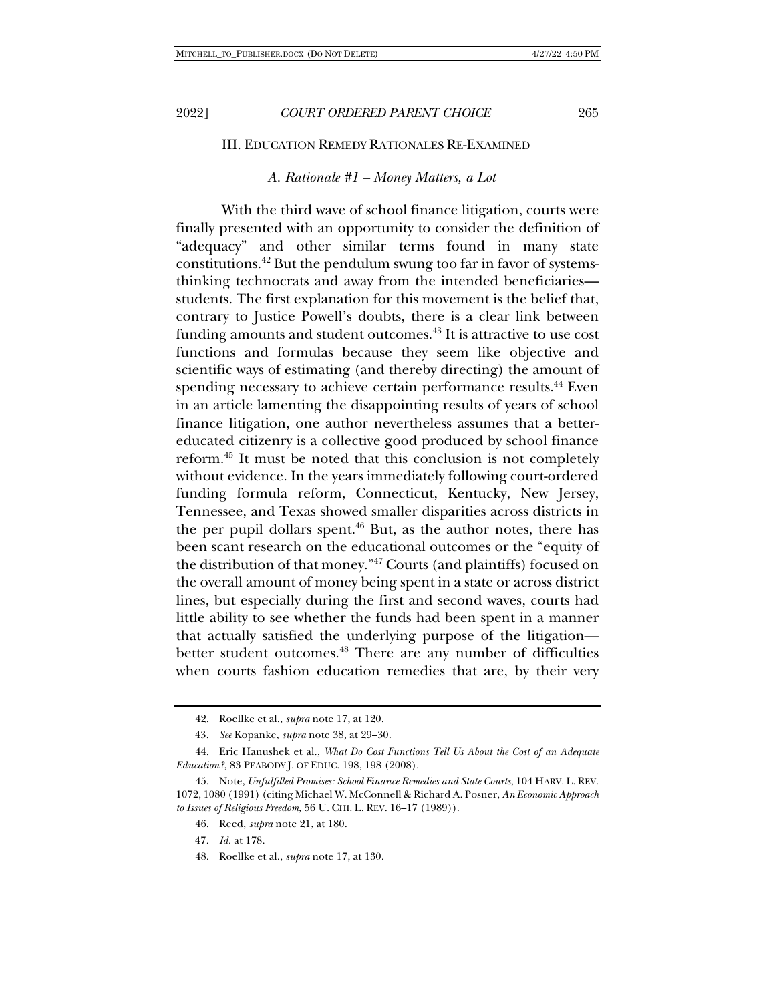#### III. EDUCATION REMEDY RATIONALES RE-EXAMINED

#### *A. Rationale #1 – Money Matters, a Lot*

With the third wave of school finance litigation, courts were finally presented with an opportunity to consider the definition of "adequacy" and other similar terms found in many state constitutions.42 But the pendulum swung too far in favor of systemsthinking technocrats and away from the intended beneficiaries students. The first explanation for this movement is the belief that, contrary to Justice Powell's doubts, there is a clear link between funding amounts and student outcomes.<sup>43</sup> It is attractive to use cost functions and formulas because they seem like objective and scientific ways of estimating (and thereby directing) the amount of spending necessary to achieve certain performance results.<sup>44</sup> Even in an article lamenting the disappointing results of years of school finance litigation, one author nevertheless assumes that a bettereducated citizenry is a collective good produced by school finance reform.45 It must be noted that this conclusion is not completely without evidence. In the years immediately following court-ordered funding formula reform, Connecticut, Kentucky, New Jersey, Tennessee, and Texas showed smaller disparities across districts in the per pupil dollars spent.<sup>46</sup> But, as the author notes, there has been scant research on the educational outcomes or the "equity of the distribution of that money."47 Courts (and plaintiffs) focused on the overall amount of money being spent in a state or across district lines, but especially during the first and second waves, courts had little ability to see whether the funds had been spent in a manner that actually satisfied the underlying purpose of the litigation better student outcomes.<sup>48</sup> There are any number of difficulties when courts fashion education remedies that are, by their very

- 47*. Id.* at 178.
- 48. Roellke et al., *supra* note 17, at 130.

<sup>42.</sup> Roellke et al., *supra* note 17, at 120.

<sup>43</sup>*. See* Kopanke, *supra* note 38, at 29–30.

<sup>44.</sup> Eric Hanushek et al., *What Do Cost Functions Tell Us About the Cost of an Adequate Education?*, 83 PEABODY J. OF EDUC. 198, 198 (2008).

<sup>45.</sup> Note, *Unfulfilled Promises: School Finance Remedies and State Courts*, 104 HARV. L. REV. 1072, 1080 (1991) (citing Michael W. McConnell & Richard A. Posner, *An Economic Approach to Issues of Religious Freedom*, 56 U. CHI. L. REV. 16–17 (1989)).

<sup>46.</sup> Reed, *supra* note 21, at 180.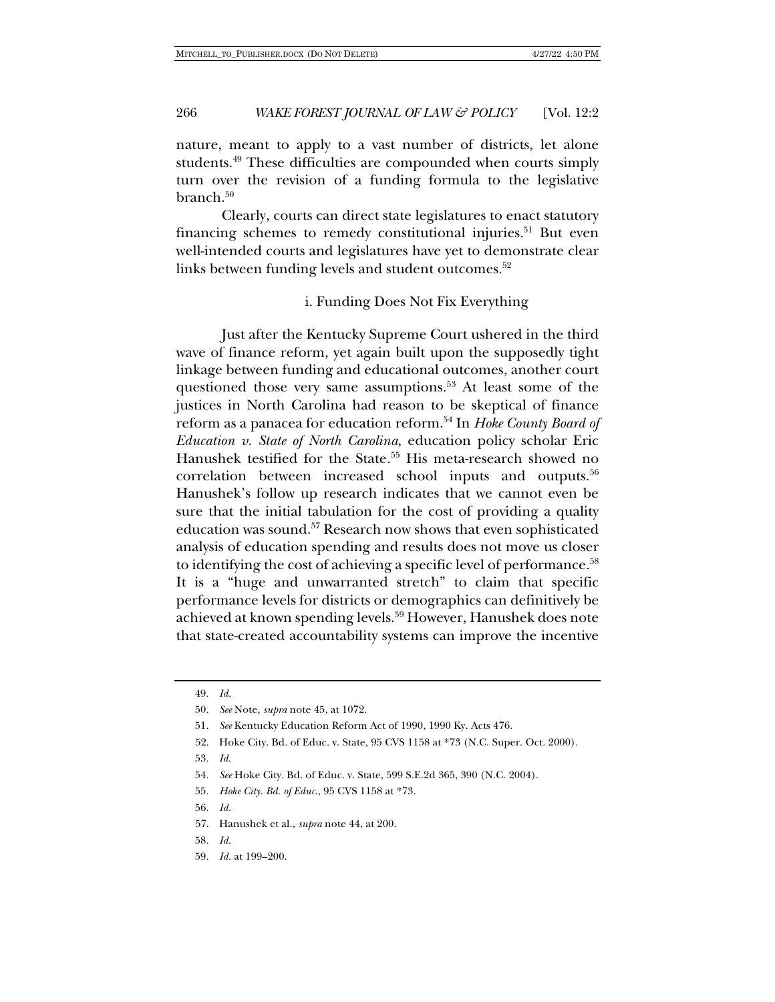nature, meant to apply to a vast number of districts, let alone students.49 These difficulties are compounded when courts simply turn over the revision of a funding formula to the legislative  $branch<sup>50</sup>$ 

Clearly, courts can direct state legislatures to enact statutory financing schemes to remedy constitutional injuries.<sup>51</sup> But even well-intended courts and legislatures have yet to demonstrate clear links between funding levels and student outcomes.<sup>52</sup>

#### i. Funding Does Not Fix Everything

Just after the Kentucky Supreme Court ushered in the third wave of finance reform, yet again built upon the supposedly tight linkage between funding and educational outcomes, another court questioned those very same assumptions.<sup>53</sup> At least some of the justices in North Carolina had reason to be skeptical of finance reform as a panacea for education reform.54 In *Hoke County Board of Education v. State of North Carolina*, education policy scholar Eric Hanushek testified for the State*.* <sup>55</sup> His meta-research showed no correlation between increased school inputs and outputs.56 Hanushek's follow up research indicates that we cannot even be sure that the initial tabulation for the cost of providing a quality education was sound.57 Research now shows that even sophisticated analysis of education spending and results does not move us closer to identifying the cost of achieving a specific level of performance.<sup>58</sup> It is a "huge and unwarranted stretch" to claim that specific performance levels for districts or demographics can definitively be achieved at known spending levels.59 However, Hanushek does note that state-created accountability systems can improve the incentive

- 56*. Id.*
- 57. Hanushek et al., *supra* note 44, at 200.
- 58*. Id.*
- 59*. Id.* at 199–200.

<sup>49</sup>*. Id.*

<sup>50</sup>*. See* Note, *supra* note 45, at 1072.

<sup>51</sup>*. See* Kentucky Education Reform Act of 1990, 1990 Ky. Acts 476.

<sup>52.</sup> Hoke City. Bd. of Educ. v. State, 95 CVS 1158 at \*73 (N.C. Super. Oct. 2000).

<sup>53</sup>*. Id.*

<sup>54</sup>*. See* Hoke City. Bd. of Educ. v. State, 599 S.E.2d 365, 390 (N.C. 2004).

<sup>55</sup>*. Hoke City. Bd. of Educ*., 95 CVS 1158 at \*73.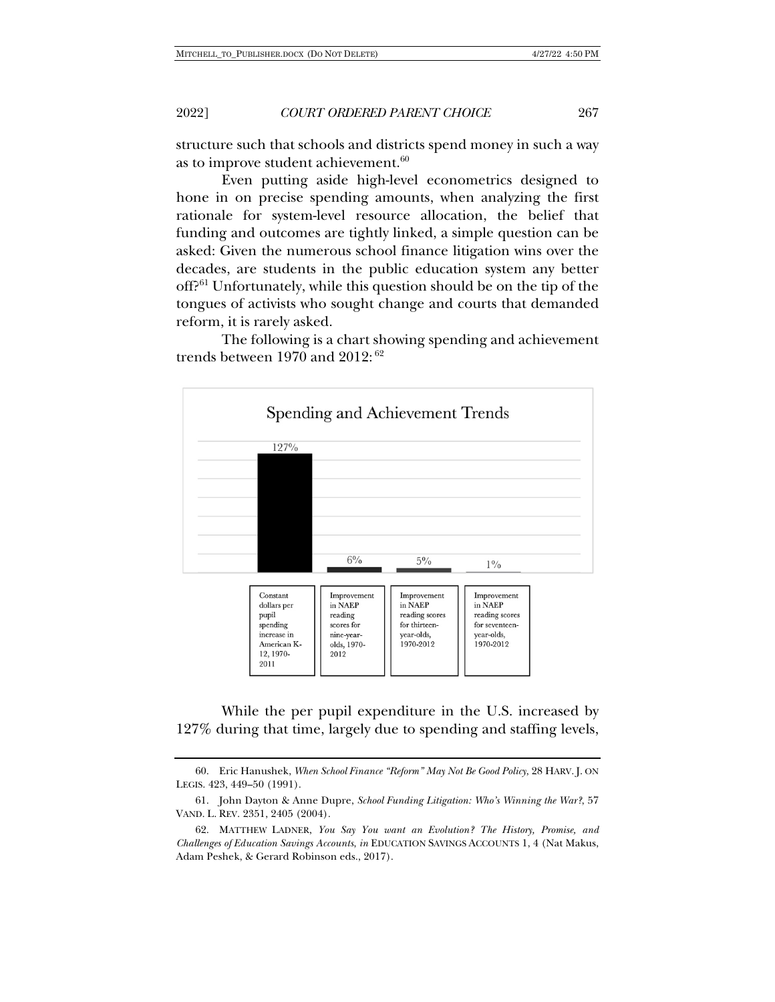2022] *COURT ORDERED PARENT CHOICE* 267

structure such that schools and districts spend money in such a way as to improve student achievement.<sup>60</sup>

Even putting aside high-level econometrics designed to hone in on precise spending amounts, when analyzing the first rationale for system-level resource allocation, the belief that funding and outcomes are tightly linked, a simple question can be asked: Given the numerous school finance litigation wins over the decades, are students in the public education system any better off?61 Unfortunately, while this question should be on the tip of the tongues of activists who sought change and courts that demanded reform, it is rarely asked.

The following is a chart showing spending and achievement trends between 1970 and 2012: <sup>62</sup>



While the per pupil expenditure in the U.S. increased by 127% during that time, largely due to spending and staffing levels,

<sup>60.</sup> Eric Hanushek, *When School Finance "Reform" May Not Be Good Policy*, 28 HARV. J. ON LEGIS. 423, 449–50 (1991).

<sup>61.</sup> John Dayton & Anne Dupre, *School Funding Litigation: Who's Winning the War?*, 57 VAND. L. REV. 2351, 2405 (2004).

<sup>62.</sup> MATTHEW LADNER, *You Say You want an Evolution? The History, Promise, and Challenges of Education Savings Accounts*, *in* EDUCATION SAVINGS ACCOUNTS 1, 4 (Nat Makus, Adam Peshek, & Gerard Robinson eds., 2017).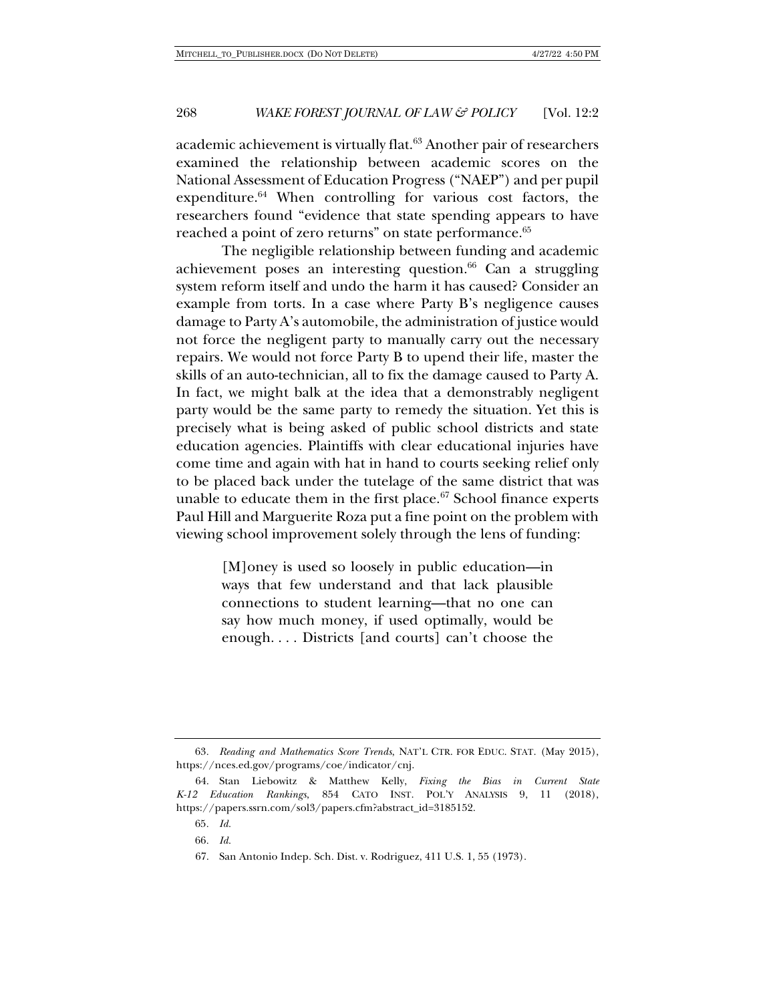academic achievement is virtually flat.63 Another pair of researchers examined the relationship between academic scores on the National Assessment of Education Progress ("NAEP") and per pupil expenditure.<sup>64</sup> When controlling for various cost factors, the researchers found "evidence that state spending appears to have reached a point of zero returns" on state performance.<sup>65</sup>

The negligible relationship between funding and academic achievement poses an interesting question. $66$  Can a struggling system reform itself and undo the harm it has caused? Consider an example from torts. In a case where Party B's negligence causes damage to Party A's automobile, the administration of justice would not force the negligent party to manually carry out the necessary repairs. We would not force Party B to upend their life, master the skills of an auto-technician, all to fix the damage caused to Party A. In fact, we might balk at the idea that a demonstrably negligent party would be the same party to remedy the situation. Yet this is precisely what is being asked of public school districts and state education agencies. Plaintiffs with clear educational injuries have come time and again with hat in hand to courts seeking relief only to be placed back under the tutelage of the same district that was unable to educate them in the first place.<sup>67</sup> School finance experts Paul Hill and Marguerite Roza put a fine point on the problem with viewing school improvement solely through the lens of funding:

> [M]oney is used so loosely in public education—in ways that few understand and that lack plausible connections to student learning—that no one can say how much money, if used optimally, would be enough. . . . Districts [and courts] can't choose the

<sup>63</sup>*. Reading and Mathematics Score Trends*, NAT'L CTR. FOR EDUC. STAT. (May 2015), https://nces.ed.gov/programs/coe/indicator/cnj.

<sup>64.</sup> Stan Liebowitz & Matthew Kelly, *Fixing the Bias in Current State K-12 Education Rankings*, 854 CATO INST. POL'Y ANALYSIS 9, 11 (2018), https://papers.ssrn.com/sol3/papers.cfm?abstract\_id=3185152.

<sup>65</sup>*. Id.*

<sup>66</sup>*. Id.*

<sup>67.</sup> San Antonio Indep. Sch. Dist. v. Rodriguez, 411 U.S. 1, 55 (1973).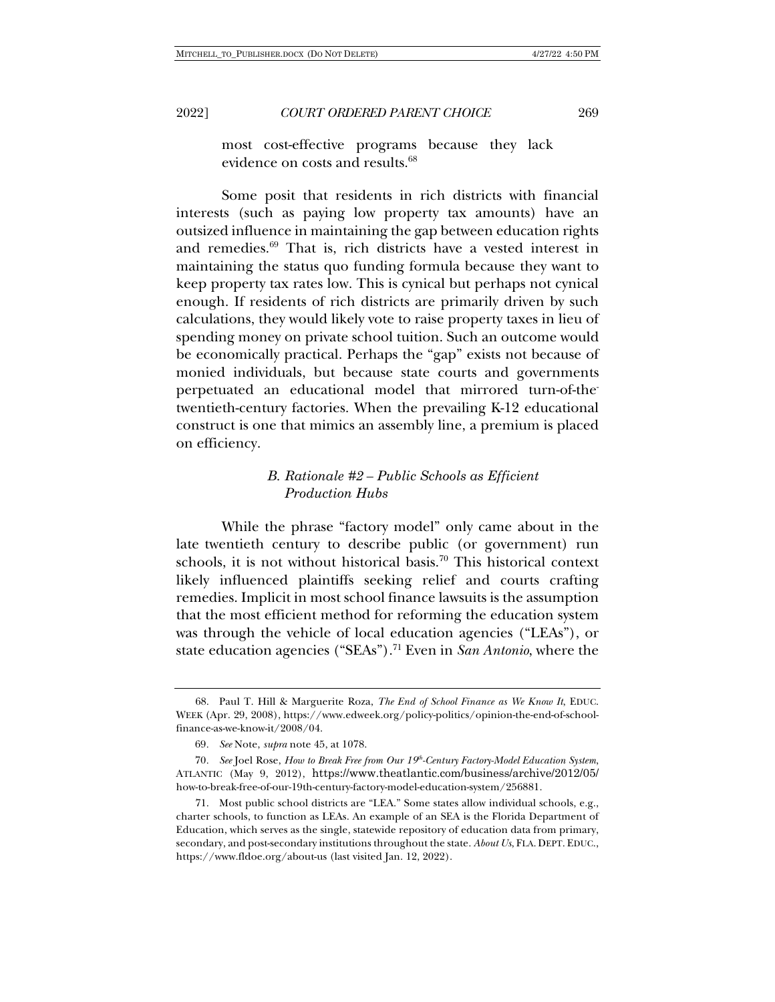most cost-effective programs because they lack evidence on costs and results.<sup>68</sup>

Some posit that residents in rich districts with financial interests (such as paying low property tax amounts) have an outsized influence in maintaining the gap between education rights and remedies.69 That is, rich districts have a vested interest in maintaining the status quo funding formula because they want to keep property tax rates low. This is cynical but perhaps not cynical enough. If residents of rich districts are primarily driven by such calculations, they would likely vote to raise property taxes in lieu of spending money on private school tuition. Such an outcome would be economically practical. Perhaps the "gap" exists not because of monied individuals, but because state courts and governments perpetuated an educational model that mirrored turn-of-thetwentieth-century factories. When the prevailing K-12 educational construct is one that mimics an assembly line, a premium is placed on efficiency.

## *B. Rationale #2 – Public Schools as Efficient Production Hubs*

While the phrase "factory model" only came about in the late twentieth century to describe public (or government) run schools, it is not without historical basis.<sup>70</sup> This historical context likely influenced plaintiffs seeking relief and courts crafting remedies. Implicit in most school finance lawsuits is the assumption that the most efficient method for reforming the education system was through the vehicle of local education agencies ("LEAs"), or state education agencies ("SEAs").71 Even in *San Antonio*, where the

<sup>68.</sup> Paul T. Hill & Marguerite Roza, *The End of School Finance as We Know It*, EDUC. WEEK (Apr. 29, 2008), https://www.edweek.org/policy-politics/opinion-the-end-of-schoolfinance-as-we-know-it/2008/04.

<sup>69</sup>*. See* Note, *supra* note 45, at 1078.

<sup>70</sup>*. See* Joel Rose, *How to Break Free from Our 19th-Century Factory-Model Education System*, ATLANTIC (May 9, 2012), https://www.theatlantic.com/business/archive/2012/05/ how-to-break-free-of-our-19th-century-factory-model-education-system/256881.

<sup>71.</sup> Most public school districts are "LEA." Some states allow individual schools, e.g., charter schools, to function as LEAs. An example of an SEA is the Florida Department of Education, which serves as the single, statewide repository of education data from primary, secondary, and post-secondary institutions throughout the state. *About Us*, FLA. DEPT. EDUC., https://www.fldoe.org/about-us (last visited Jan. 12, 2022).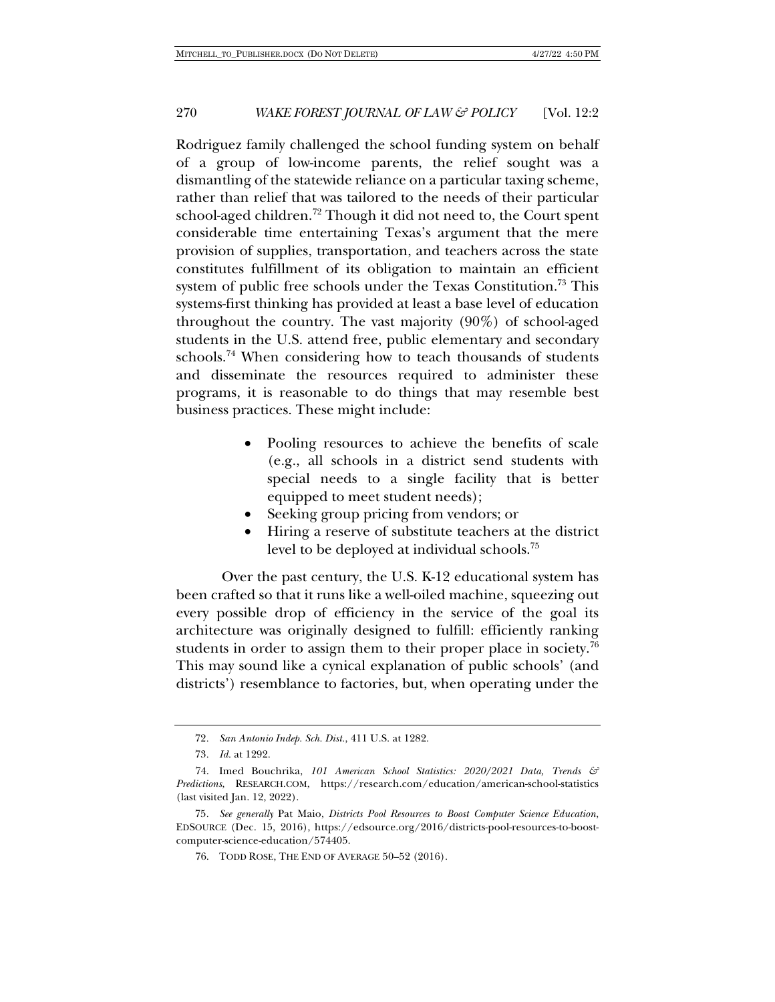Rodriguez family challenged the school funding system on behalf of a group of low-income parents, the relief sought was a dismantling of the statewide reliance on a particular taxing scheme, rather than relief that was tailored to the needs of their particular school-aged children.<sup>72</sup> Though it did not need to, the Court spent considerable time entertaining Texas's argument that the mere provision of supplies, transportation, and teachers across the state constitutes fulfillment of its obligation to maintain an efficient system of public free schools under the Texas Constitution.73 This systems-first thinking has provided at least a base level of education throughout the country. The vast majority (90%) of school-aged students in the U.S. attend free, public elementary and secondary schools.<sup>74</sup> When considering how to teach thousands of students and disseminate the resources required to administer these programs, it is reasonable to do things that may resemble best business practices. These might include:

- Pooling resources to achieve the benefits of scale (e.g., all schools in a district send students with special needs to a single facility that is better equipped to meet student needs);
- Seeking group pricing from vendors; or
- Hiring a reserve of substitute teachers at the district level to be deployed at individual schools.75

Over the past century, the U.S. K-12 educational system has been crafted so that it runs like a well-oiled machine, squeezing out every possible drop of efficiency in the service of the goal its architecture was originally designed to fulfill: efficiently ranking students in order to assign them to their proper place in society.<sup>76</sup> This may sound like a cynical explanation of public schools' (and districts') resemblance to factories, but, when operating under the

<sup>72</sup>*. San Antonio Indep. Sch. Dist.*, 411 U.S. at 1282.

<sup>73</sup>*. Id.* at 1292.

<sup>74.</sup> Imed Bouchrika, *101 American School Statistics: 2020/2021 Data, Trends & Predictions*, RESEARCH.COM, https://research.com/education/american-school-statistics (last visited Jan. 12, 2022).

<sup>75</sup>*. See generally* Pat Maio, *Districts Pool Resources to Boost Computer Science Education*, EDSOURCE (Dec. 15, 2016), https://edsource.org/2016/districts-pool-resources-to-boostcomputer-science-education/574405.

<sup>76.</sup> TODD ROSE, THE END OF AVERAGE 50–52 (2016).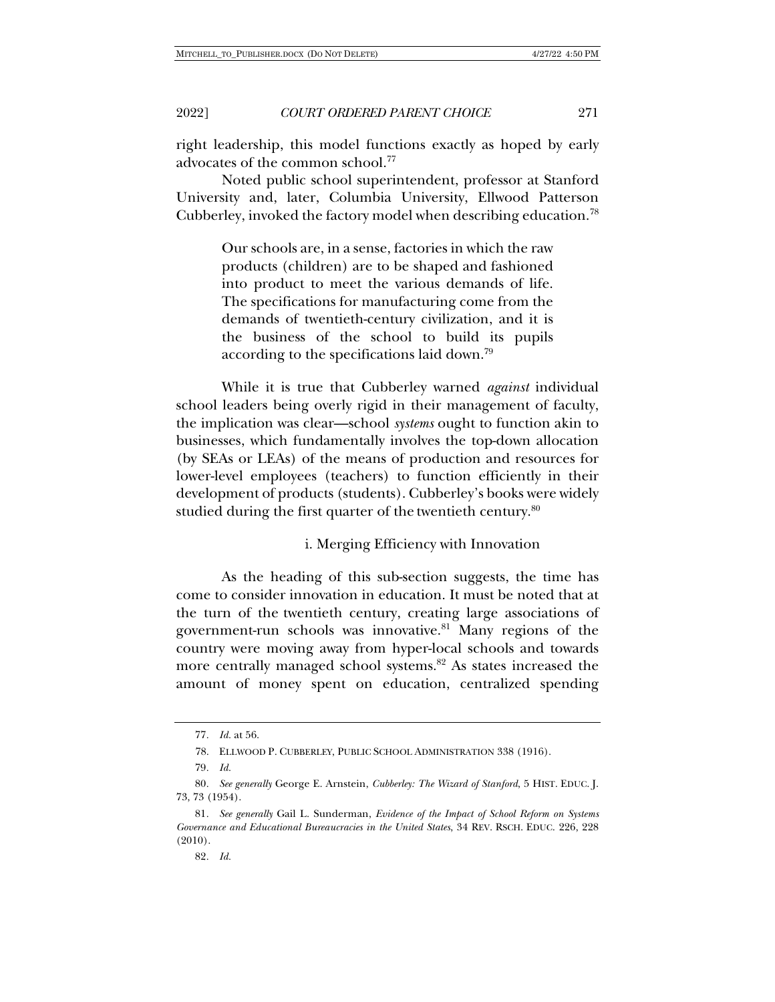right leadership, this model functions exactly as hoped by early advocates of the common school.77

Noted public school superintendent, professor at Stanford University and, later, Columbia University, Ellwood Patterson Cubberley, invoked the factory model when describing education.78

> Our schools are, in a sense, factories in which the raw products (children) are to be shaped and fashioned into product to meet the various demands of life. The specifications for manufacturing come from the demands of twentieth-century civilization, and it is the business of the school to build its pupils according to the specifications laid down.79

While it is true that Cubberley warned *against* individual school leaders being overly rigid in their management of faculty, the implication was clear—school *systems* ought to function akin to businesses, which fundamentally involves the top-down allocation (by SEAs or LEAs) of the means of production and resources for lower-level employees (teachers) to function efficiently in their development of products (students). Cubberley's books were widely studied during the first quarter of the twentieth century. $80$ 

i. Merging Efficiency with Innovation

As the heading of this sub-section suggests, the time has come to consider innovation in education. It must be noted that at the turn of the twentieth century, creating large associations of government-run schools was innovative.<sup>81</sup> Many regions of the country were moving away from hyper-local schools and towards more centrally managed school systems.<sup>82</sup> As states increased the amount of money spent on education, centralized spending

<sup>77</sup>*. Id.* at 56.

<sup>78.</sup> ELLWOOD P. CUBBERLEY, PUBLIC SCHOOL ADMINISTRATION 338 (1916).

<sup>79</sup>*. Id.*

<sup>80</sup>*. See generally* George E. Arnstein, *Cubberley: The Wizard of Stanford*, 5 HIST. EDUC. J. 73, 73 (1954).

<sup>81</sup>*. See generally* Gail L. Sunderman, *Evidence of the Impact of School Reform on Systems Governance and Educational Bureaucracies in the United States*, 34 REV. RSCH. EDUC. 226, 228 (2010).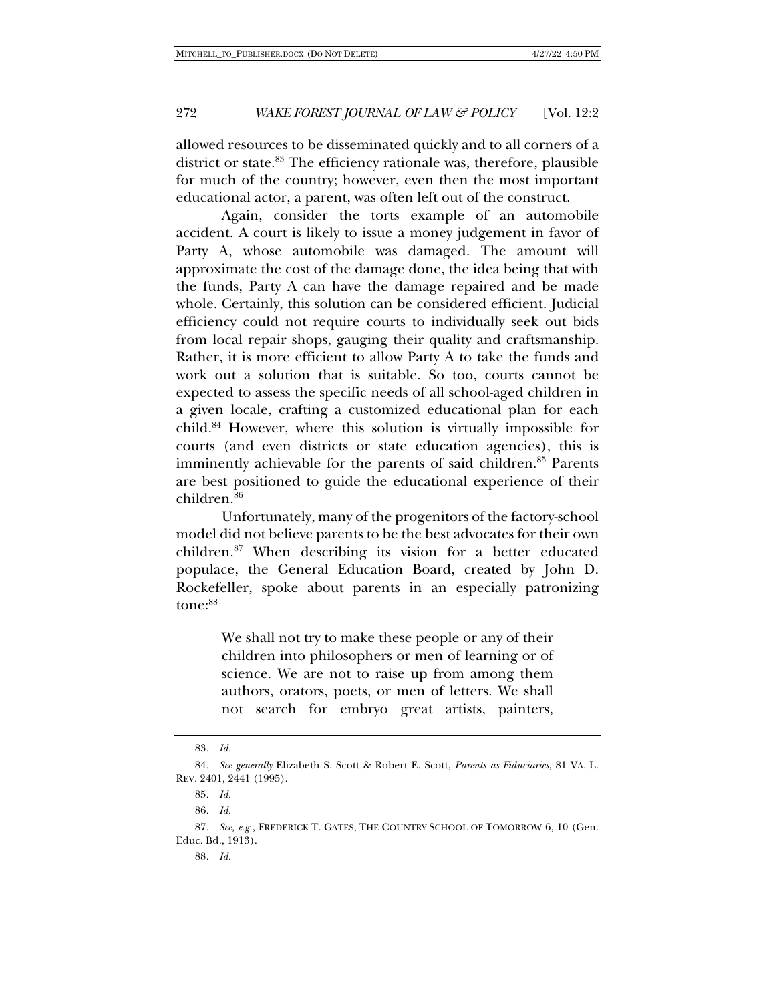allowed resources to be disseminated quickly and to all corners of a district or state.<sup>83</sup> The efficiency rationale was, therefore, plausible for much of the country; however, even then the most important educational actor, a parent, was often left out of the construct.

Again, consider the torts example of an automobile accident. A court is likely to issue a money judgement in favor of Party A, whose automobile was damaged. The amount will approximate the cost of the damage done, the idea being that with the funds, Party A can have the damage repaired and be made whole. Certainly, this solution can be considered efficient. Judicial efficiency could not require courts to individually seek out bids from local repair shops, gauging their quality and craftsmanship. Rather, it is more efficient to allow Party A to take the funds and work out a solution that is suitable. So too, courts cannot be expected to assess the specific needs of all school-aged children in a given locale, crafting a customized educational plan for each child.84 However, where this solution is virtually impossible for courts (and even districts or state education agencies), this is imminently achievable for the parents of said children.<sup>85</sup> Parents are best positioned to guide the educational experience of their children.<sup>86</sup>

Unfortunately, many of the progenitors of the factory-school model did not believe parents to be the best advocates for their own children.87 When describing its vision for a better educated populace, the General Education Board, created by John D. Rockefeller, spoke about parents in an especially patronizing tone:<sup>88</sup>

> We shall not try to make these people or any of their children into philosophers or men of learning or of science. We are not to raise up from among them authors, orators, poets, or men of letters. We shall not search for embryo great artists, painters,

<sup>83</sup>*. Id.*

<sup>84</sup>*. See generally* Elizabeth S. Scott & Robert E. Scott, *Parents as Fiduciaries*, 81 VA. L. REV. 2401, 2441 (1995).

<sup>85</sup>*. Id.*

<sup>86</sup>*. Id.*

<sup>87</sup>*. See, e.g.*, FREDERICK T. GATES, THE COUNTRY SCHOOL OF TOMORROW 6, 10 (Gen. Educ. Bd., 1913).

<sup>88</sup>*. Id.*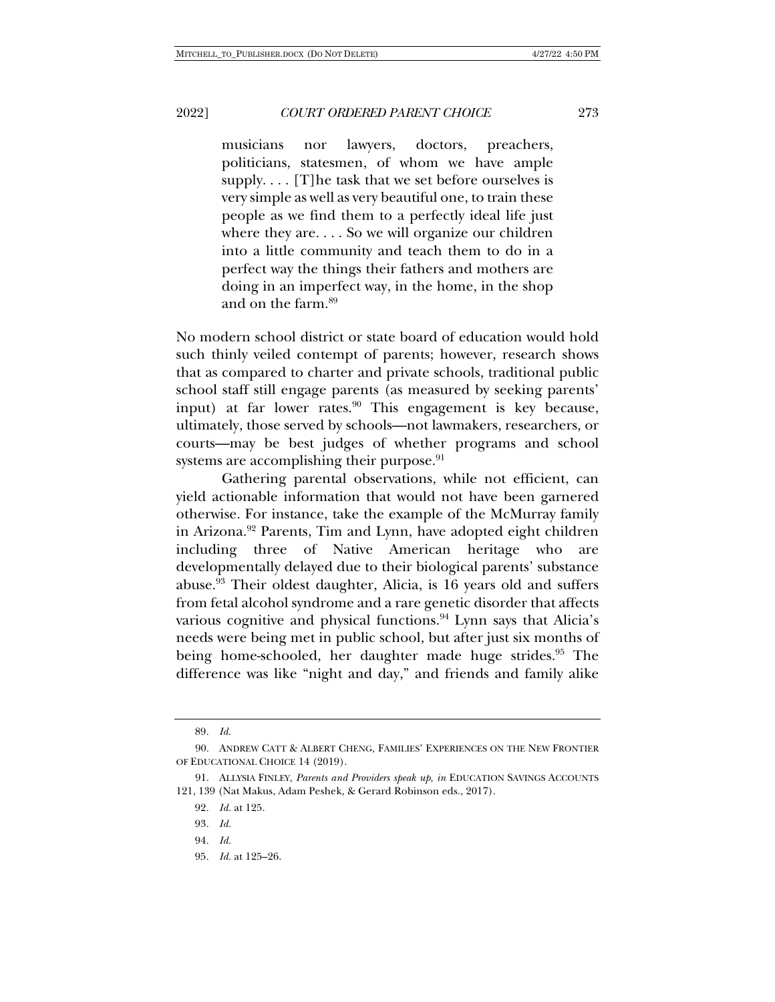musicians nor lawyers, doctors, preachers, politicians, statesmen, of whom we have ample supply. . . . [T]he task that we set before ourselves is very simple as well as very beautiful one, to train these people as we find them to a perfectly ideal life just where they are. . . . So we will organize our children into a little community and teach them to do in a perfect way the things their fathers and mothers are doing in an imperfect way, in the home, in the shop and on the farm.89

No modern school district or state board of education would hold such thinly veiled contempt of parents; however, research shows that as compared to charter and private schools, traditional public school staff still engage parents (as measured by seeking parents' input) at far lower rates.<sup>90</sup> This engagement is key because, ultimately, those served by schools—not lawmakers, researchers, or courts—may be best judges of whether programs and school systems are accomplishing their purpose.<sup>91</sup>

Gathering parental observations, while not efficient, can yield actionable information that would not have been garnered otherwise. For instance, take the example of the McMurray family in Arizona.<sup>92</sup> Parents, Tim and Lynn, have adopted eight children including three of Native American heritage who are developmentally delayed due to their biological parents' substance abuse.93 Their oldest daughter, Alicia, is 16 years old and suffers from fetal alcohol syndrome and a rare genetic disorder that affects various cognitive and physical functions.<sup>94</sup> Lynn says that Alicia's needs were being met in public school, but after just six months of being home-schooled, her daughter made huge strides.<sup>95</sup> The difference was like "night and day," and friends and family alike

<sup>89</sup>*. Id.*

<sup>90.</sup> ANDREW CATT & ALBERT CHENG, FAMILIES' EXPERIENCES ON THE NEW FRONTIER OF EDUCATIONAL CHOICE 14 (2019).

<sup>91.</sup> ALLYSIA FINLEY, *Parents and Providers speak up*, *in* EDUCATION SAVINGS ACCOUNTS 121, 139 (Nat Makus, Adam Peshek, & Gerard Robinson eds., 2017).

<sup>92</sup>*. Id.* at 125.

<sup>93</sup>*. Id.*

<sup>94</sup>*. Id.*

<sup>95</sup>*. Id.* at 125–26.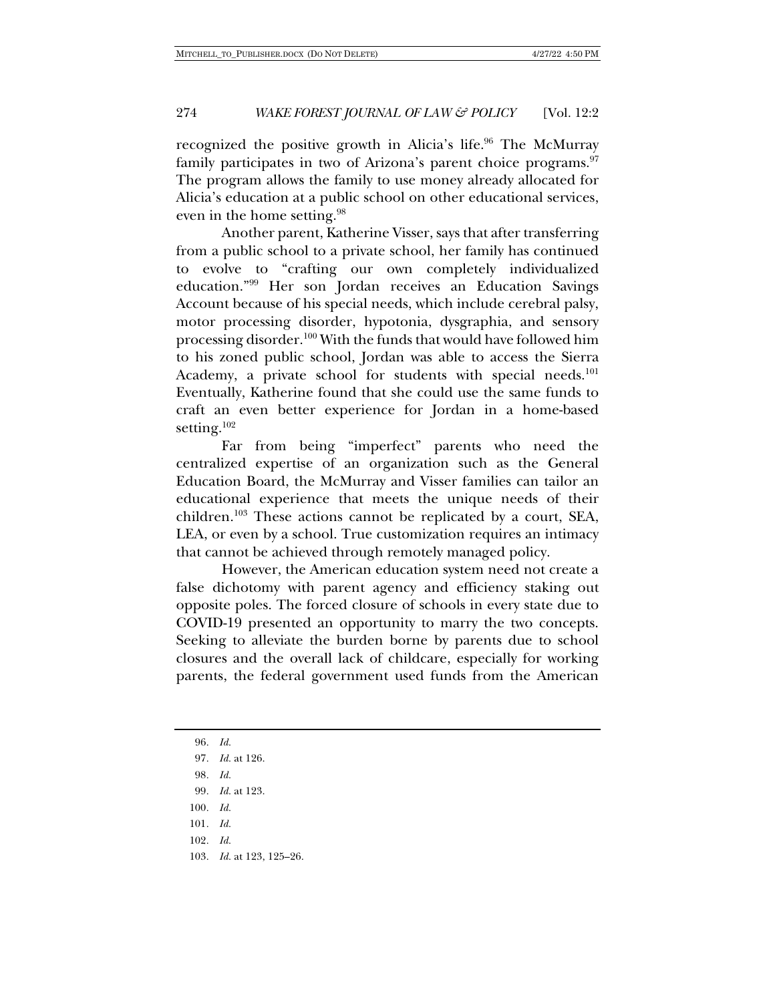recognized the positive growth in Alicia's life.<sup>96</sup> The McMurray family participates in two of Arizona's parent choice programs.<sup>97</sup> The program allows the family to use money already allocated for Alicia's education at a public school on other educational services, even in the home setting.98

Another parent, Katherine Visser, says that after transferring from a public school to a private school, her family has continued to evolve to "crafting our own completely individualized education."99 Her son Jordan receives an Education Savings Account because of his special needs, which include cerebral palsy, motor processing disorder, hypotonia, dysgraphia, and sensory processing disorder.100 With the funds that would have followed him to his zoned public school, Jordan was able to access the Sierra Academy, a private school for students with special needs.<sup>101</sup> Eventually, Katherine found that she could use the same funds to craft an even better experience for Jordan in a home-based setting.<sup>102</sup>

Far from being "imperfect" parents who need the centralized expertise of an organization such as the General Education Board, the McMurray and Visser families can tailor an educational experience that meets the unique needs of their children.103 These actions cannot be replicated by a court, SEA, LEA, or even by a school. True customization requires an intimacy that cannot be achieved through remotely managed policy.

However, the American education system need not create a false dichotomy with parent agency and efficiency staking out opposite poles. The forced closure of schools in every state due to COVID-19 presented an opportunity to marry the two concepts. Seeking to alleviate the burden borne by parents due to school closures and the overall lack of childcare, especially for working parents, the federal government used funds from the American

96*. Id.* 97*. Id.* at 126. 98*. Id.* 99*. Id.* at 123. 100*. Id.* 101*. Id.* 102*. Id.* 103*. Id.* at 123, 125–26.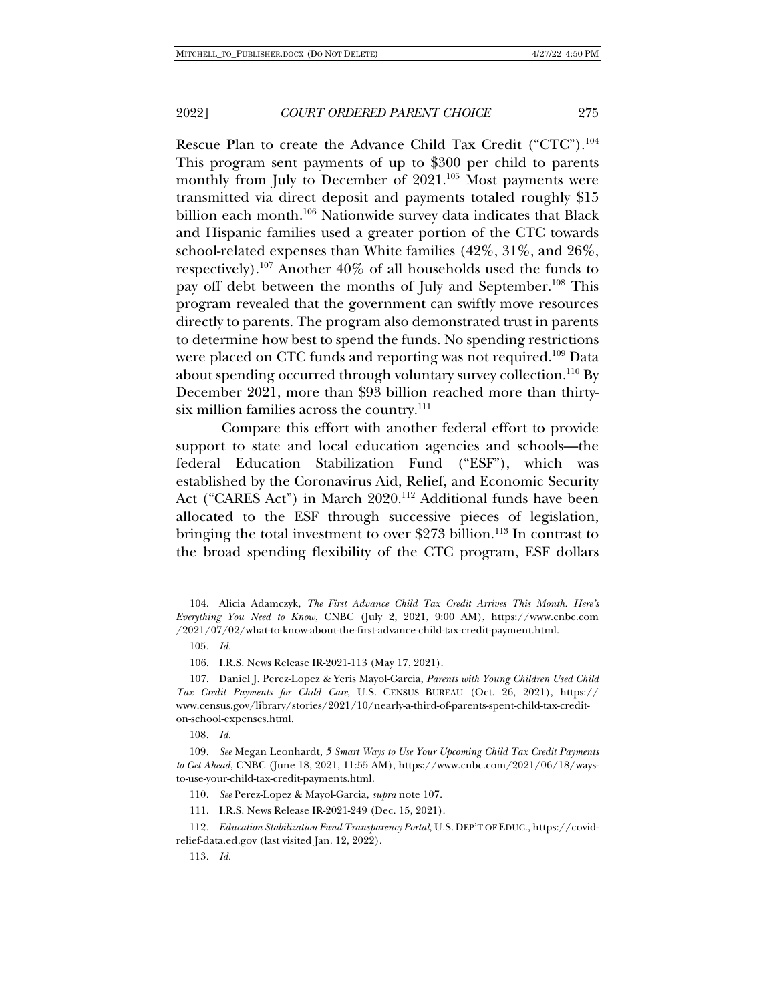Rescue Plan to create the Advance Child Tax Credit ("CTC").<sup>104</sup> This program sent payments of up to \$300 per child to parents monthly from July to December of 2021.<sup>105</sup> Most payments were transmitted via direct deposit and payments totaled roughly \$15 billion each month.<sup>106</sup> Nationwide survey data indicates that Black and Hispanic families used a greater portion of the CTC towards school-related expenses than White families (42%, 31%, and 26%, respectively).107 Another 40% of all households used the funds to pay off debt between the months of July and September.108 This program revealed that the government can swiftly move resources directly to parents. The program also demonstrated trust in parents to determine how best to spend the funds. No spending restrictions were placed on CTC funds and reporting was not required.<sup>109</sup> Data about spending occurred through voluntary survey collection.<sup>110</sup> By December 2021, more than \$93 billion reached more than thirtysix million families across the country.<sup>111</sup>

Compare this effort with another federal effort to provide support to state and local education agencies and schools—the federal Education Stabilization Fund ("ESF"), which was established by the Coronavirus Aid, Relief, and Economic Security Act ("CARES Act") in March 2020.<sup>112</sup> Additional funds have been allocated to the ESF through successive pieces of legislation, bringing the total investment to over \$273 billion.<sup>113</sup> In contrast to the broad spending flexibility of the CTC program, ESF dollars

110*. See* Perez-Lopez & Mayol-Garcia, *supra* note 107.

111. I.R.S. News Release IR-2021-249 (Dec. 15, 2021).

<sup>104.</sup> Alicia Adamczyk, *The First Advance Child Tax Credit Arrives This Month. Here's Everything You Need to Know*, CNBC (July 2, 2021, 9:00 AM), https://www.cnbc.com /2021/07/02/what-to-know-about-the-first-advance-child-tax-credit-payment.html.

<sup>105</sup>*. Id.*

<sup>106.</sup> I.R.S. News Release IR-2021-113 (May 17, 2021).

<sup>107.</sup> Daniel J. Perez-Lopez & Yeris Mayol-Garcia, *Parents with Young Children Used Child Tax Credit Payments for Child Care*, U.S. CENSUS BUREAU (Oct. 26, 2021), https:// www.census.gov/library/stories/2021/10/nearly-a-third-of-parents-spent-child-tax-crediton-school-expenses.html.

<sup>108</sup>*. Id.*

<sup>109</sup>*. See* Megan Leonhardt, *5 Smart Ways to Use Your Upcoming Child Tax Credit Payments to Get Ahead*, CNBC (June 18, 2021, 11:55 AM), https://www.cnbc.com/2021/06/18/waysto-use-your-child-tax-credit-payments.html.

<sup>112</sup>*. Education Stabilization Fund Transparency Portal*, U.S. DEP'T OF EDUC., https://covidrelief-data.ed.gov (last visited Jan. 12, 2022).

<sup>113</sup>*. Id.*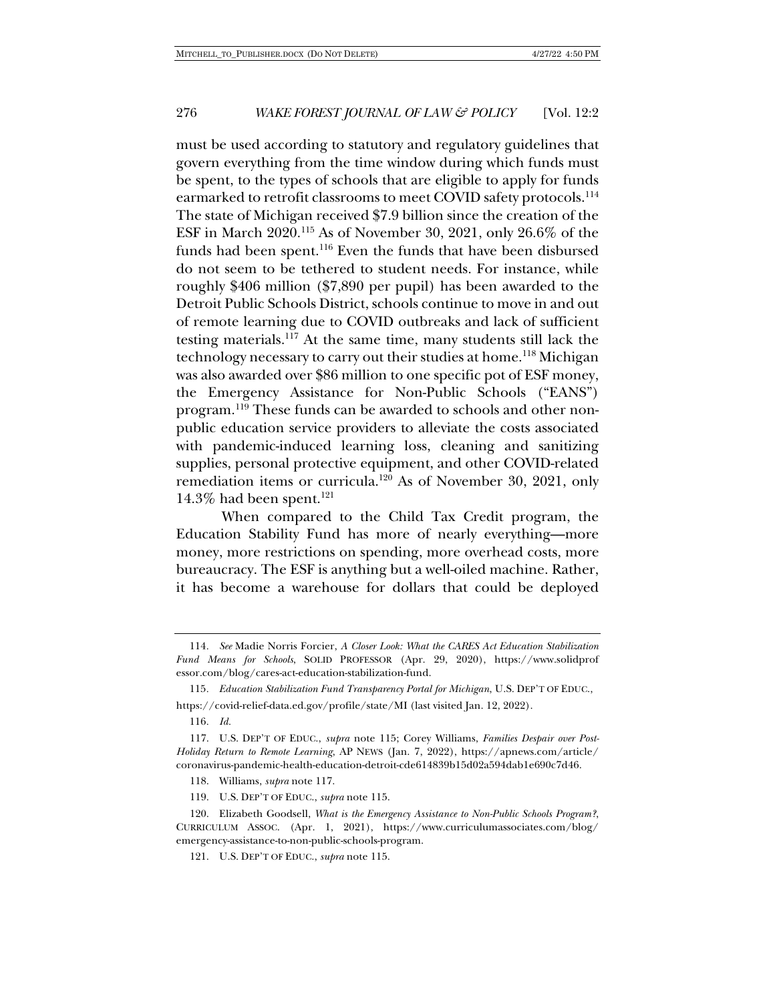must be used according to statutory and regulatory guidelines that govern everything from the time window during which funds must be spent, to the types of schools that are eligible to apply for funds earmarked to retrofit classrooms to meet COVID safety protocols.<sup>114</sup> The state of Michigan received \$7.9 billion since the creation of the ESF in March 2020.115 As of November 30, 2021, only 26.6% of the funds had been spent.<sup>116</sup> Even the funds that have been disbursed do not seem to be tethered to student needs. For instance, while roughly \$406 million (\$7,890 per pupil) has been awarded to the Detroit Public Schools District, schools continue to move in and out of remote learning due to COVID outbreaks and lack of sufficient testing materials.117 At the same time, many students still lack the technology necessary to carry out their studies at home. <sup>118</sup> Michigan was also awarded over \$86 million to one specific pot of ESF money, the Emergency Assistance for Non-Public Schools ("EANS") program.119 These funds can be awarded to schools and other nonpublic education service providers to alleviate the costs associated with pandemic-induced learning loss, cleaning and sanitizing supplies, personal protective equipment, and other COVID-related remediation items or curricula.120 As of November 30, 2021, only 14.3% had been spent. $121$ 

When compared to the Child Tax Credit program, the Education Stability Fund has more of nearly everything—more money, more restrictions on spending, more overhead costs, more bureaucracy. The ESF is anything but a well-oiled machine. Rather, it has become a warehouse for dollars that could be deployed

115*. Education Stabilization Fund Transparency Portal for Michigan*, U.S. DEP'T OF EDUC., https://covid-relief-data.ed.gov/profile/state/MI (last visited Jan. 12, 2022).

<sup>114</sup>*. See* Madie Norris Forcier, *A Closer Look: What the CARES Act Education Stabilization Fund Means for Schools*, SOLID PROFESSOR (Apr. 29, 2020), https://www.solidprof essor.com/blog/cares-act-education-stabilization-fund.

<sup>116</sup>*. Id.*

<sup>117.</sup> U.S. DEP'T OF EDUC., *supra* note 115; Corey Williams, *Families Despair over Post-Holiday Return to Remote Learning*, AP NEWS (Jan. 7, 2022), https://apnews.com/article/ coronavirus-pandemic-health-education-detroit-cde614839b15d02a594dab1e690c7d46.

<sup>118.</sup> Williams, *supra* note 117.

<sup>119.</sup> U.S. DEP'T OF EDUC., *supra* note 115.

<sup>120.</sup> Elizabeth Goodsell, *What is the Emergency Assistance to Non-Public Schools Program?*, CURRICULUM ASSOC. (Apr. 1, 2021), https://www.curriculumassociates.com/blog/ emergency-assistance-to-non-public-schools-program.

<sup>121.</sup> U.S. DEP'T OF EDUC., *supra* note 115.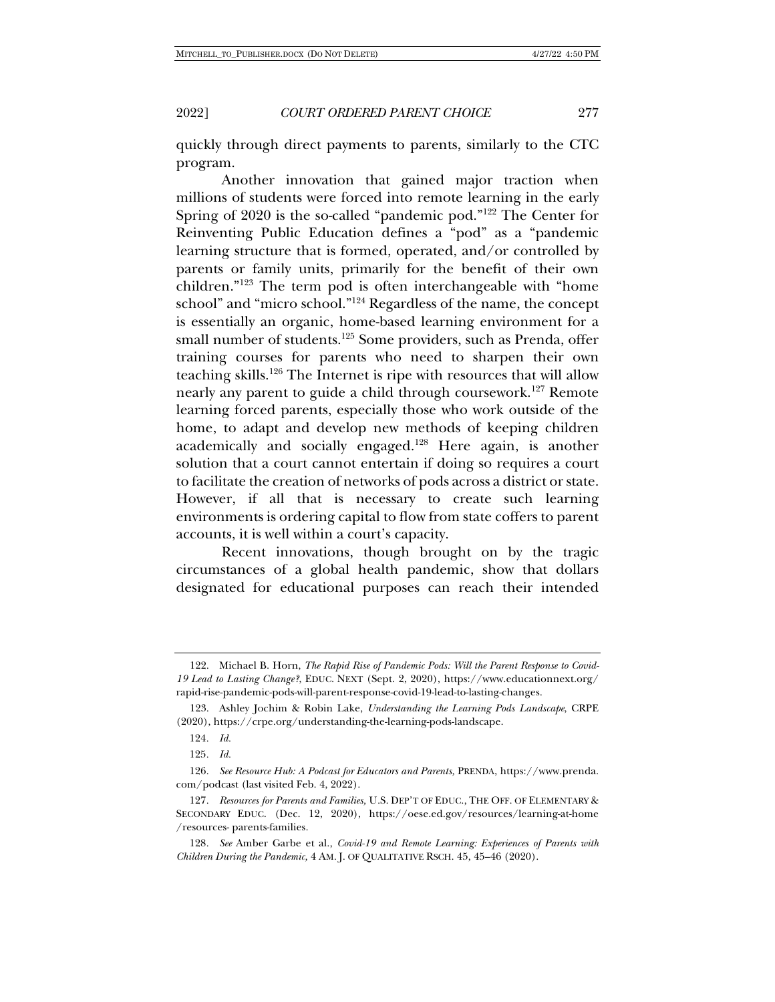quickly through direct payments to parents, similarly to the CTC program.

Another innovation that gained major traction when millions of students were forced into remote learning in the early Spring of 2020 is the so-called "pandemic pod."122 The Center for Reinventing Public Education defines a "pod" as a "pandemic learning structure that is formed, operated, and/or controlled by parents or family units, primarily for the benefit of their own children."123 The term pod is often interchangeable with "home school" and "micro school."124 Regardless of the name, the concept is essentially an organic, home-based learning environment for a small number of students.<sup>125</sup> Some providers, such as Prenda, offer training courses for parents who need to sharpen their own teaching skills.126 The Internet is ripe with resources that will allow nearly any parent to guide a child through coursework.127 Remote learning forced parents, especially those who work outside of the home, to adapt and develop new methods of keeping children academically and socially engaged.128 Here again, is another solution that a court cannot entertain if doing so requires a court to facilitate the creation of networks of pods across a district or state. However, if all that is necessary to create such learning environments is ordering capital to flow from state coffers to parent accounts, it is well within a court's capacity.

Recent innovations, though brought on by the tragic circumstances of a global health pandemic, show that dollars designated for educational purposes can reach their intended

<sup>122.</sup> Michael B. Horn, *The Rapid Rise of Pandemic Pods: Will the Parent Response to Covid-19 Lead to Lasting Change?*, EDUC. NEXT (Sept. 2, 2020), https://www.educationnext.org/ rapid-rise-pandemic-pods-will-parent-response-covid-19-lead-to-lasting-changes.

<sup>123.</sup> Ashley Jochim & Robin Lake, *Understanding the Learning Pods Landscape*, CRPE (2020), https://crpe.org/understanding-the-learning-pods-landscape.

<sup>124</sup>*. Id.*

<sup>125</sup>*. Id.*

<sup>126</sup>*. See Resource Hub: A Podcast for Educators and Parents,* PRENDA, https://www.prenda. com/podcast (last visited Feb. 4, 2022).

<sup>127</sup>*. Resources for Parents and Families,* U.S. DEP'T OF EDUC., THE OFF. OF ELEMENTARY & SECONDARY EDUC. (Dec. 12, 2020), https://oese.ed.gov/resources/learning-at-home /resources- parents-families.

<sup>128</sup>*. See* Amber Garbe et al., *Covid-19 and Remote Learning: Experiences of Parents with Children During the Pandemic,* 4 AM. J. OF QUALITATIVE RSCH. 45, 45–46 (2020).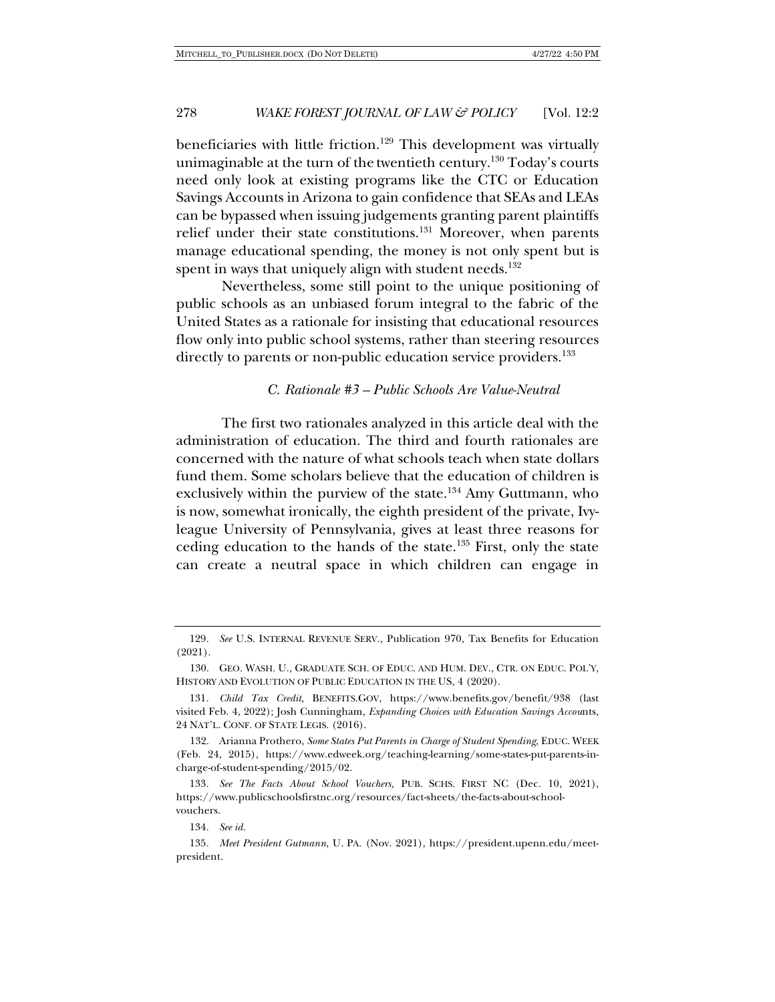beneficiaries with little friction.<sup>129</sup> This development was virtually unimaginable at the turn of the twentieth century.<sup>130</sup> Today's courts need only look at existing programs like the CTC or Education Savings Accounts in Arizona to gain confidence that SEAs and LEAs can be bypassed when issuing judgements granting parent plaintiffs relief under their state constitutions.131 Moreover, when parents manage educational spending, the money is not only spent but is spent in ways that uniquely align with student needs.<sup>132</sup>

Nevertheless, some still point to the unique positioning of public schools as an unbiased forum integral to the fabric of the United States as a rationale for insisting that educational resources flow only into public school systems, rather than steering resources directly to parents or non-public education service providers.<sup>133</sup>

#### *C. Rationale #3 – Public Schools Are Value-Neutral*

The first two rationales analyzed in this article deal with the administration of education. The third and fourth rationales are concerned with the nature of what schools teach when state dollars fund them. Some scholars believe that the education of children is exclusively within the purview of the state.<sup>134</sup> Amy Guttmann, who is now, somewhat ironically, the eighth president of the private, Ivyleague University of Pennsylvania, gives at least three reasons for ceding education to the hands of the state.<sup>135</sup> First, only the state can create a neutral space in which children can engage in

134*. See id.*

135*. Meet President Gutmann*, U. PA. (Nov. 2021), https://president.upenn.edu/meetpresident.

<sup>129</sup>*. See* U.S. INTERNAL REVENUE SERV., Publication 970, Tax Benefits for Education (2021).

<sup>130.</sup> GEO. WASH. U., GRADUATE SCH. OF EDUC. AND HUM. DEV., CTR. ON EDUC. POL'Y, HISTORY AND EVOLUTION OF PUBLIC EDUCATION IN THE US, 4 (2020).

<sup>131</sup>*. Child Tax Credit,* BENEFITS.GOV, https://www.benefits.gov/benefit/938 (last visited Feb. 4, 2022); Josh Cunningham*, Expanding Choices with Education Savings Accou*nts, 24 NAT'L. CONF. OF STATE LEGIS. (2016).

<sup>132.</sup> Arianna Prothero, *Some States Put Parents in Charge of Student Spending*, EDUC. WEEK (Feb. 24, 2015), https://www.edweek.org/teaching-learning/some-states-put-parents-incharge-of-student-spending/2015/02.

<sup>133</sup>*. See The Facts About School Vouchers,* PUB. SCHS. FIRST NC (Dec. 10, 2021), https://www.publicschoolsfirstnc.org/resources/fact-sheets/the-facts-about-schoolvouchers.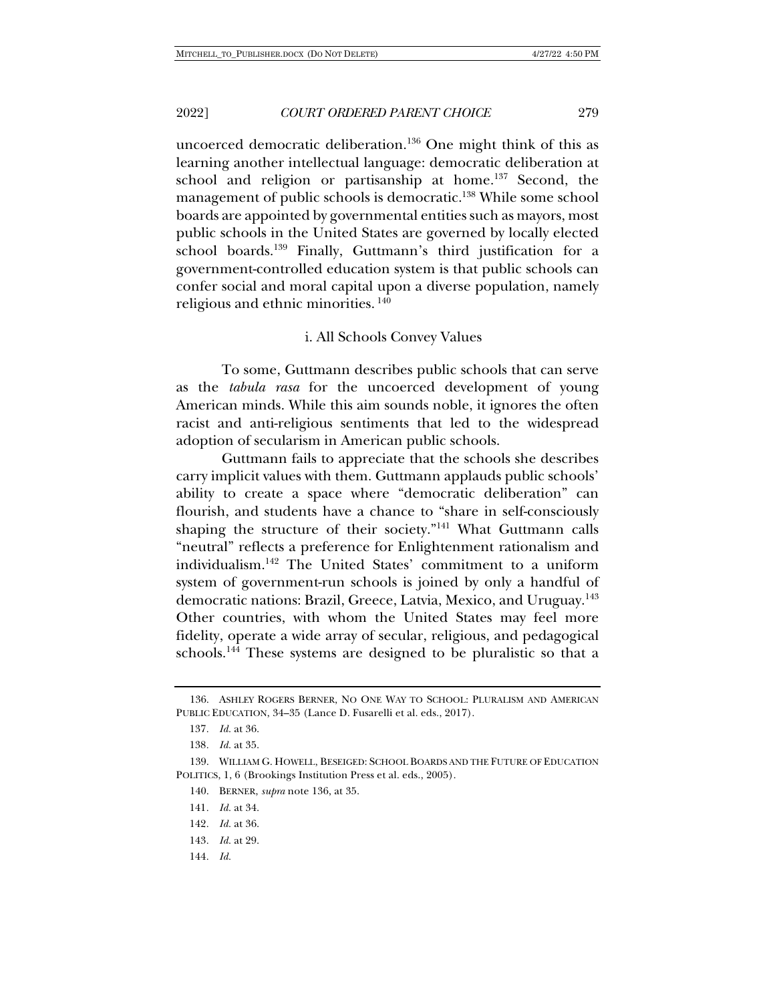uncoerced democratic deliberation.<sup>136</sup> One might think of this as learning another intellectual language: democratic deliberation at school and religion or partisanship at home.<sup>137</sup> Second, the management of public schools is democratic.<sup>138</sup> While some school boards are appointed by governmental entities such as mayors, most public schools in the United States are governed by locally elected school boards.139 Finally, Guttmann's third justification for a government-controlled education system is that public schools can confer social and moral capital upon a diverse population, namely religious and ethnic minorities. <sup>140</sup>

#### i. All Schools Convey Values

To some, Guttmann describes public schools that can serve as the *tabula rasa* for the uncoerced development of young American minds. While this aim sounds noble, it ignores the often racist and anti-religious sentiments that led to the widespread adoption of secularism in American public schools.

Guttmann fails to appreciate that the schools she describes carry implicit values with them. Guttmann applauds public schools' ability to create a space where "democratic deliberation" can flourish, and students have a chance to "share in self-consciously shaping the structure of their society."141 What Guttmann calls "neutral" reflects a preference for Enlightenment rationalism and individualism.142 The United States' commitment to a uniform system of government-run schools is joined by only a handful of democratic nations: Brazil, Greece, Latvia, Mexico, and Uruguay.<sup>143</sup> Other countries, with whom the United States may feel more fidelity, operate a wide array of secular, religious, and pedagogical schools.144 These systems are designed to be pluralistic so that a

- 142*. Id.* at 36.
- 143*. Id.* at 29.
- 144*. Id.*

<sup>136.</sup> ASHLEY ROGERS BERNER, NO ONE WAY TO SCHOOL: PLURALISM AND AMERICAN PUBLIC EDUCATION, 34–35 (Lance D. Fusarelli et al. eds., 2017).

<sup>137</sup>*. Id.* at 36.

<sup>138</sup>*. Id.* at 35.

<sup>139.</sup> WILLIAM G. HOWELL, BESEIGED: SCHOOL BOARDS AND THE FUTURE OF EDUCATION POLITICS, 1, 6 (Brookings Institution Press et al. eds., 2005).

<sup>140.</sup> BERNER, *supra* note 136, at 35.

<sup>141</sup>*. Id.* at 34.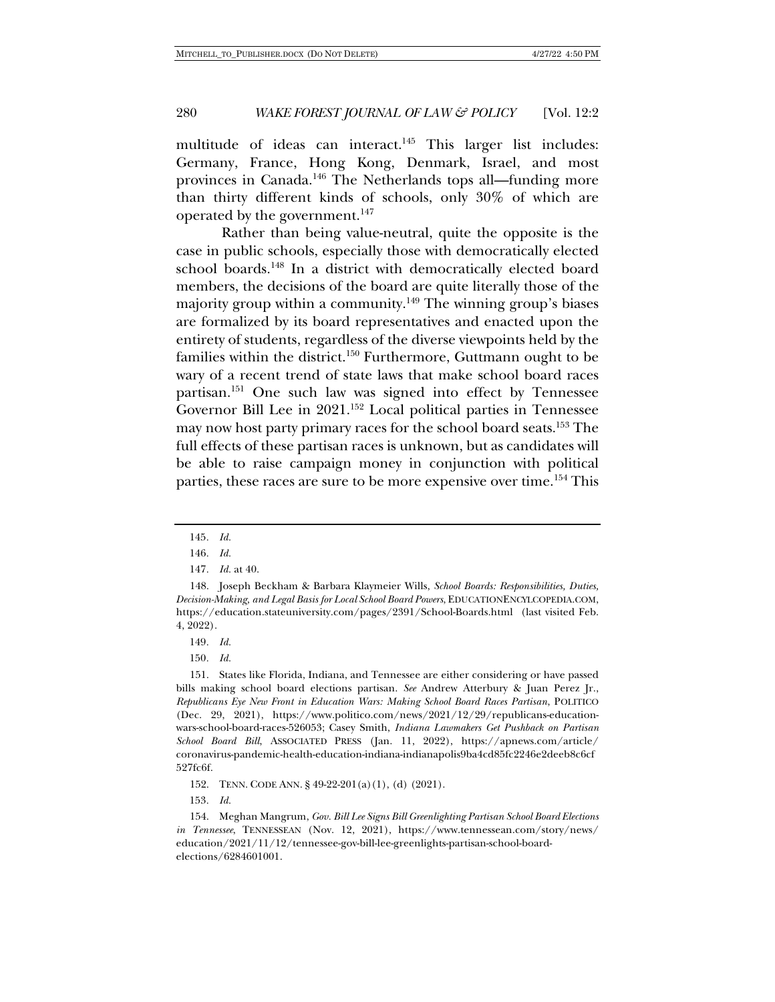multitude of ideas can interact.<sup>145</sup> This larger list includes: Germany, France, Hong Kong, Denmark, Israel, and most provinces in Canada.146 The Netherlands tops all—funding more than thirty different kinds of schools, only 30% of which are operated by the government.<sup>147</sup>

Rather than being value-neutral, quite the opposite is the case in public schools, especially those with democratically elected school boards.<sup>148</sup> In a district with democratically elected board members, the decisions of the board are quite literally those of the majority group within a community.<sup>149</sup> The winning group's biases are formalized by its board representatives and enacted upon the entirety of students, regardless of the diverse viewpoints held by the families within the district.<sup>150</sup> Furthermore, Guttmann ought to be wary of a recent trend of state laws that make school board races partisan.151 One such law was signed into effect by Tennessee Governor Bill Lee in 2021.<sup>152</sup> Local political parties in Tennessee may now host party primary races for the school board seats.153 The full effects of these partisan races is unknown, but as candidates will be able to raise campaign money in conjunction with political parties, these races are sure to be more expensive over time.<sup>154</sup> This

152. TENN. CODE ANN. § 49-22-201(a)(1), (d) (2021).

153*. Id.*

<sup>145</sup>*. Id.*

<sup>146</sup>*. Id.*

<sup>147</sup>*. Id.* at 40.

<sup>148.</sup> Joseph Beckham & Barbara Klaymeier Wills, *School Boards: Responsibilities, Duties, Decision-Making, and Legal Basis for Local School Board Powers*, EDUCATIONENCYLCOPEDIA.COM, https://education.stateuniversity.com/pages/2391/School-Boards.html (last visited Feb. 4, 2022).

<sup>149</sup>*. Id.*

<sup>150</sup>*. Id.*

<sup>151.</sup> States like Florida, Indiana, and Tennessee are either considering or have passed bills making school board elections partisan. *See* Andrew Atterbury & Juan Perez Jr., *Republicans Eye New Front in Education Wars: Making School Board Races Partisan*, POLITICO (Dec. 29, 2021), https://www.politico.com/news/2021/12/29/republicans-educationwars-school-board-races-526053; Casey Smith, *Indiana Lawmakers Get Pushback on Partisan School Board Bill*, ASSOCIATED PRESS (Jan. 11, 2022), https://apnews.com/article/ coronavirus-pandemic-health-education-indiana-indianapolis9ba4cd85fc2246e2deeb8c6cf 527fc6f.

<sup>154.</sup> Meghan Mangrum, *Gov. Bill Lee Signs Bill Greenlighting Partisan School Board Elections in Tennessee*, TENNESSEAN (Nov. 12, 2021), https://www.tennessean.com/story/news/ education/2021/11/12/tennessee-gov-bill-lee-greenlights-partisan-school-boardelections/6284601001.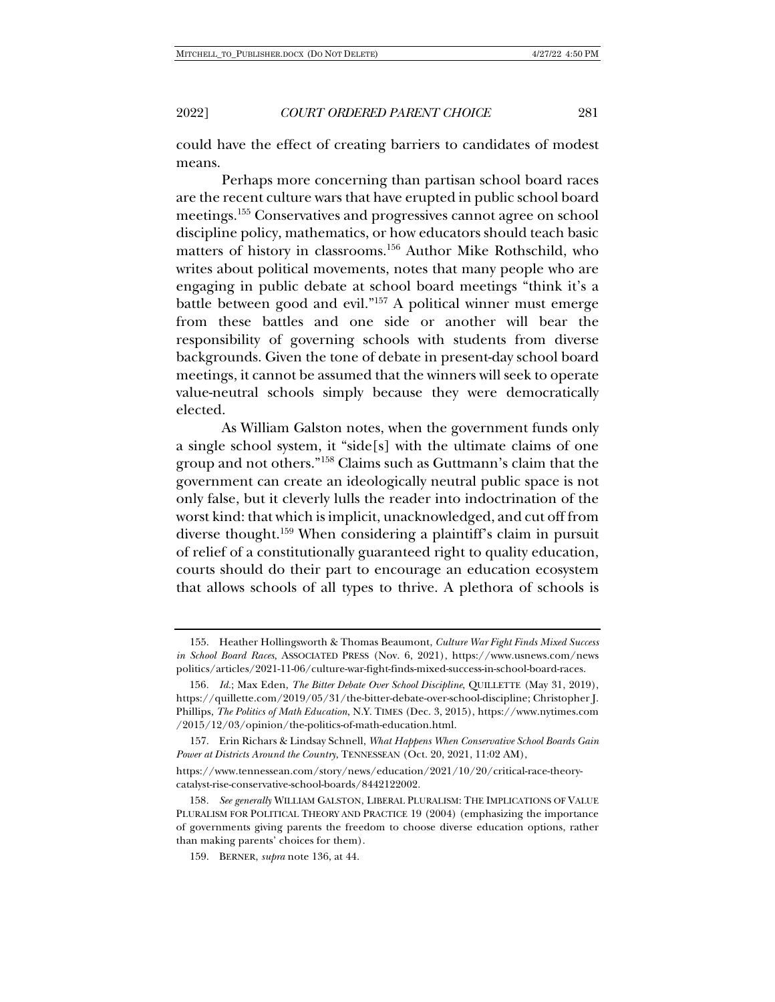could have the effect of creating barriers to candidates of modest means.

Perhaps more concerning than partisan school board races are the recent culture wars that have erupted in public school board meetings.155 Conservatives and progressives cannot agree on school discipline policy, mathematics, or how educators should teach basic matters of history in classrooms.156 Author Mike Rothschild, who writes about political movements, notes that many people who are engaging in public debate at school board meetings "think it's a battle between good and evil."157 A political winner must emerge from these battles and one side or another will bear the responsibility of governing schools with students from diverse backgrounds. Given the tone of debate in present-day school board meetings, it cannot be assumed that the winners will seek to operate value-neutral schools simply because they were democratically elected.

As William Galston notes, when the government funds only a single school system, it "side[s] with the ultimate claims of one group and not others."158 Claims such as Guttmann's claim that the government can create an ideologically neutral public space is not only false, but it cleverly lulls the reader into indoctrination of the worst kind: that which is implicit, unacknowledged, and cut off from diverse thought.159 When considering a plaintiff's claim in pursuit of relief of a constitutionally guaranteed right to quality education, courts should do their part to encourage an education ecosystem that allows schools of all types to thrive. A plethora of schools is

157. Erin Richars & Lindsay Schnell, *What Happens When Conservative School Boards Gain Power at Districts Around the Country*, TENNESSEAN (Oct. 20, 2021, 11:02 AM),

<sup>155.</sup> Heather Hollingsworth & Thomas Beaumont, *Culture War Fight Finds Mixed Success in School Board Races*, ASSOCIATED PRESS (Nov. 6, 2021), https://www.usnews.com/news politics/articles/2021-11-06/culture-war-fight-finds-mixed-success-in-school-board-races.

<sup>156</sup>*. Id.*; Max Eden, *The Bitter Debate Over School Discipline*, QUILLETTE (May 31, 2019), https://quillette.com/2019/05/31/the-bitter-debate-over-school-discipline; Christopher J. Phillips, *The Politics of Math Education*, N.Y. TIMES (Dec. 3, 2015), https://www.nytimes.com /2015/12/03/opinion/the-politics-of-math-education.html.

https://www.tennessean.com/story/news/education/2021/10/20/critical-race-theorycatalyst-rise-conservative-school-boards/8442122002.

<sup>158</sup>*. See generally* WILLIAM GALSTON, LIBERAL PLURALISM: THE IMPLICATIONS OF VALUE PLURALISM FOR POLITICAL THEORY AND PRACTICE 19 (2004) (emphasizing the importance of governments giving parents the freedom to choose diverse education options, rather than making parents' choices for them).

<sup>159.</sup> BERNER, *supra* note 136, at 44.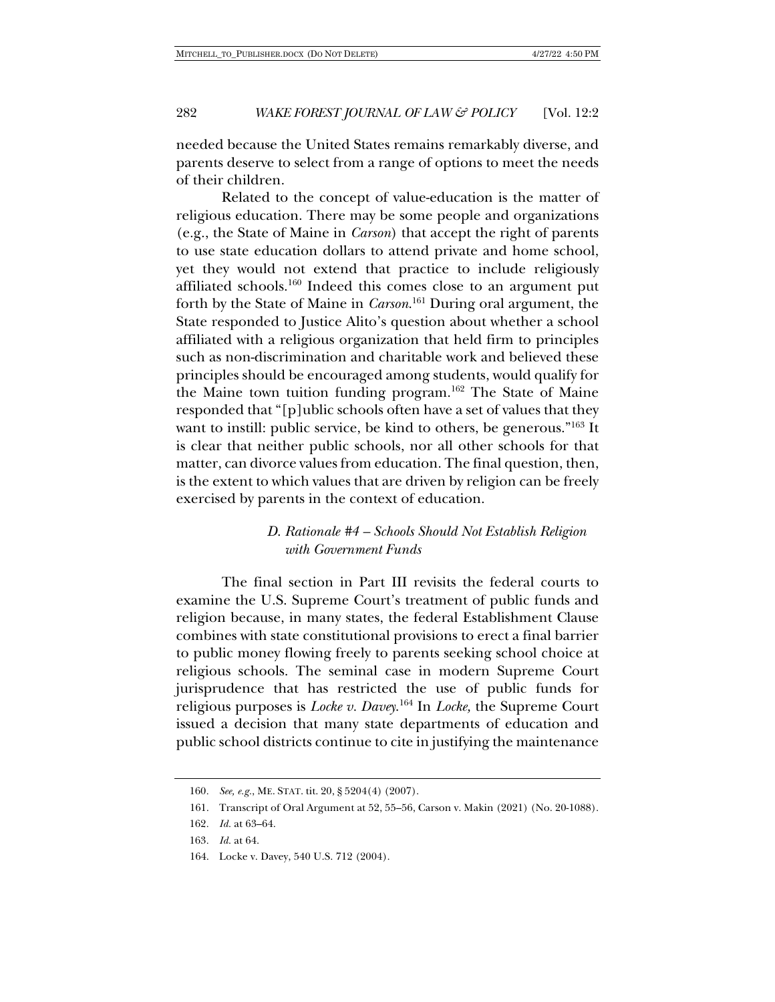needed because the United States remains remarkably diverse, and parents deserve to select from a range of options to meet the needs of their children.

Related to the concept of value-education is the matter of religious education. There may be some people and organizations (e.g., the State of Maine in *Carson*) that accept the right of parents to use state education dollars to attend private and home school, yet they would not extend that practice to include religiously affiliated schools.<sup>160</sup> Indeed this comes close to an argument put forth by the State of Maine in *Carson*. <sup>161</sup> During oral argument, the State responded to Justice Alito's question about whether a school affiliated with a religious organization that held firm to principles such as non-discrimination and charitable work and believed these principles should be encouraged among students, would qualify for the Maine town tuition funding program.162 The State of Maine responded that "[p]ublic schools often have a set of values that they want to instill: public service, be kind to others, be generous."163 It is clear that neither public schools, nor all other schools for that matter, can divorce values from education. The final question, then, is the extent to which values that are driven by religion can be freely exercised by parents in the context of education.

## *D. Rationale #4 – Schools Should Not Establish Religion with Government Funds*

The final section in Part III revisits the federal courts to examine the U.S. Supreme Court's treatment of public funds and religion because, in many states, the federal Establishment Clause combines with state constitutional provisions to erect a final barrier to public money flowing freely to parents seeking school choice at religious schools. The seminal case in modern Supreme Court jurisprudence that has restricted the use of public funds for religious purposes is *Locke v. Davey*. <sup>164</sup> In *Locke,* the Supreme Court issued a decision that many state departments of education and public school districts continue to cite in justifying the maintenance

<sup>160</sup>*. See, e.g.*, ME. STAT. tit. 20, § 5204(4) (2007).

<sup>161.</sup> Transcript of Oral Argument at 52, 55–56, Carson v. Makin (2021) (No. 20-1088).

<sup>162</sup>*. Id.* at 63–64.

<sup>163</sup>*. Id.* at 64.

<sup>164.</sup> Locke v. Davey, 540 U.S. 712 (2004).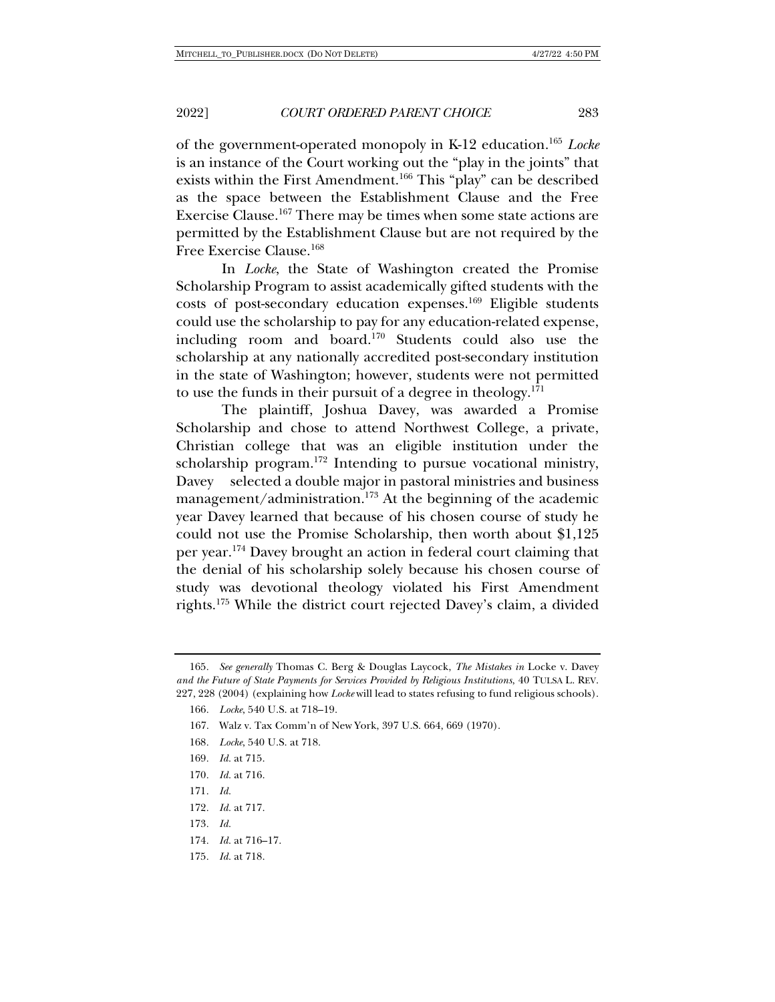of the government-operated monopoly in K-12 education.165 *Locke* is an instance of the Court working out the "play in the joints" that exists within the First Amendment.166 This "play" can be described as the space between the Establishment Clause and the Free Exercise Clause.167 There may be times when some state actions are permitted by the Establishment Clause but are not required by the Free Exercise Clause.168

In *Locke*, the State of Washington created the Promise Scholarship Program to assist academically gifted students with the costs of post-secondary education expenses.169 Eligible students could use the scholarship to pay for any education-related expense, including room and board.170 Students could also use the scholarship at any nationally accredited post-secondary institution in the state of Washington; however, students were not permitted to use the funds in their pursuit of a degree in theology.<sup>171</sup>

The plaintiff, Joshua Davey, was awarded a Promise Scholarship and chose to attend Northwest College, a private, Christian college that was an eligible institution under the scholarship program.<sup>172</sup> Intending to pursue vocational ministry, Davey selected a double major in pastoral ministries and business management/administration.173 At the beginning of the academic year Davey learned that because of his chosen course of study he could not use the Promise Scholarship, then worth about \$1,125 per year.174 Davey brought an action in federal court claiming that the denial of his scholarship solely because his chosen course of study was devotional theology violated his First Amendment rights.175 While the district court rejected Davey's claim, a divided

- 168*. Locke*, 540 U.S. at 718.
- 169*. Id.* at 715.
- 170*. Id.* at 716.
- 171*. Id.*
- 172*. Id.* at 717.
- 173*. Id.*
- 174*. Id.* at 716–17.
- 175*. Id.* at 718.

<sup>165</sup>*. See generally* Thomas C. Berg & Douglas Laycock, *The Mistakes in* Locke v. Davey *and the Future of State Payments for Services Provided by Religious Institutions*, 40 TULSA L. REV. 227, 228 (2004) (explaining how *Locke* will lead to states refusing to fund religious schools).

<sup>166</sup>*. Locke*, 540 U.S. at 718–19.

<sup>167.</sup> Walz v. Tax Comm'n of New York, 397 U.S. 664, 669 (1970).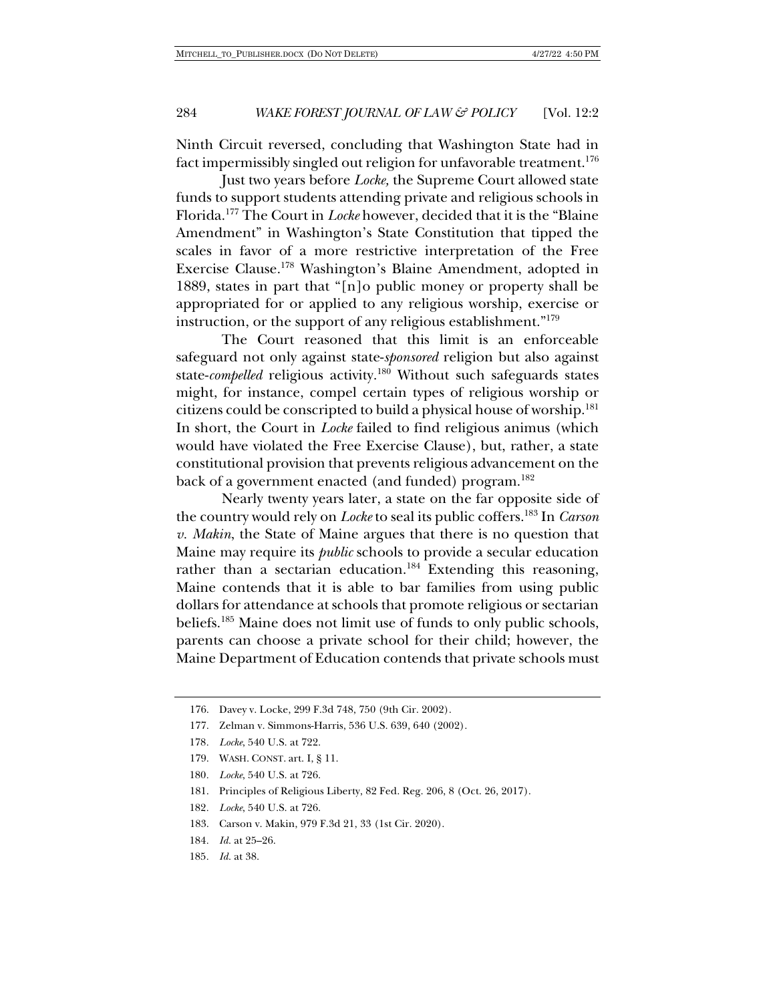Ninth Circuit reversed, concluding that Washington State had in fact impermissibly singled out religion for unfavorable treatment.<sup>176</sup>

Just two years before *Locke,* the Supreme Court allowed state funds to support students attending private and religious schools in Florida.177 The Court in *Locke* however, decided that it is the "Blaine Amendment" in Washington's State Constitution that tipped the scales in favor of a more restrictive interpretation of the Free Exercise Clause.178 Washington's Blaine Amendment, adopted in 1889, states in part that "[n]o public money or property shall be appropriated for or applied to any religious worship, exercise or instruction, or the support of any religious establishment."179

The Court reasoned that this limit is an enforceable safeguard not only against state-*sponsored* religion but also against state-*compelled* religious activity.<sup>180</sup> Without such safeguards states might, for instance, compel certain types of religious worship or citizens could be conscripted to build a physical house of worship.181 In short, the Court in *Locke* failed to find religious animus (which would have violated the Free Exercise Clause), but, rather, a state constitutional provision that prevents religious advancement on the back of a government enacted (and funded) program.<sup>182</sup>

Nearly twenty years later, a state on the far opposite side of the country would rely on *Locke* to seal its public coffers.183 In *Carson v. Makin*, the State of Maine argues that there is no question that Maine may require its *public* schools to provide a secular education rather than a sectarian education.<sup>184</sup> Extending this reasoning, Maine contends that it is able to bar families from using public dollars for attendance at schools that promote religious or sectarian beliefs.185 Maine does not limit use of funds to only public schools, parents can choose a private school for their child; however, the Maine Department of Education contends that private schools must

- 183. Carson v. Makin, 979 F.3d 21, 33 (1st Cir. 2020).
- 184*. Id.* at 25–26.
- 185*. Id.* at 38.

<sup>176.</sup> Davey v. Locke, 299 F.3d 748, 750 (9th Cir. 2002).

<sup>177.</sup> Zelman v. Simmons-Harris, 536 U.S. 639, 640 (2002).

<sup>178</sup>*. Locke*, 540 U.S. at 722.

<sup>179.</sup> WASH. CONST. art. I, § 11.

<sup>180</sup>*. Locke*, 540 U.S. at 726.

<sup>181.</sup> Principles of Religious Liberty, 82 Fed. Reg. 206, 8 (Oct. 26, 2017).

<sup>182</sup>*. Locke*, 540 U.S. at 726.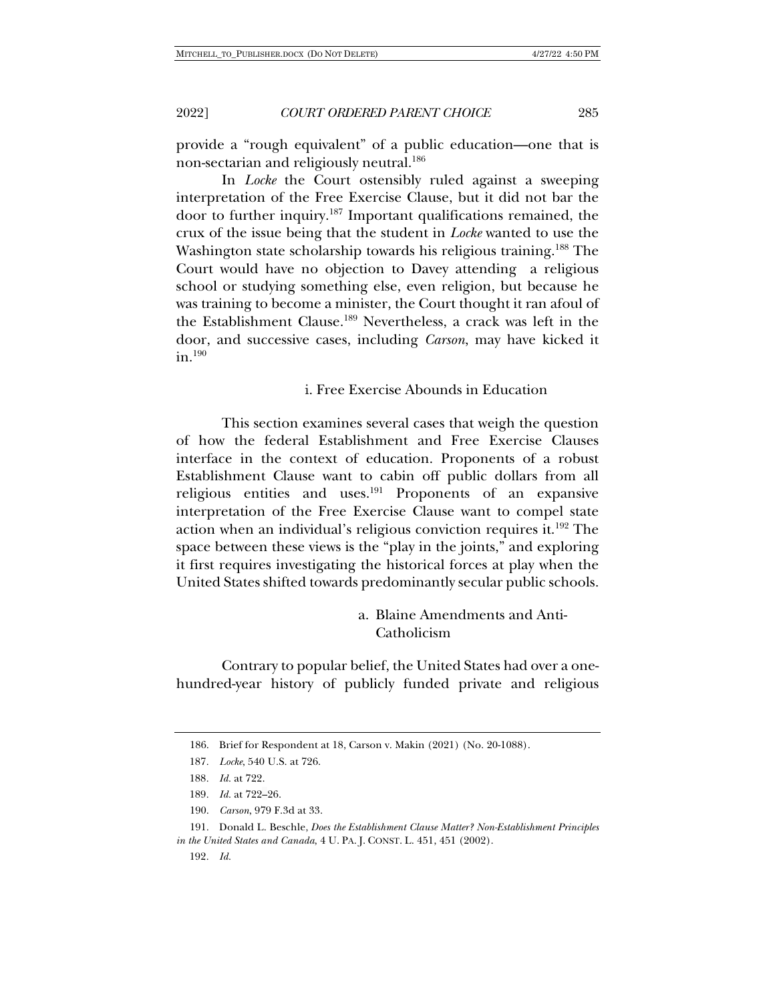provide a "rough equivalent" of a public education—one that is non-sectarian and religiously neutral.<sup>186</sup>

In *Locke* the Court ostensibly ruled against a sweeping interpretation of the Free Exercise Clause, but it did not bar the door to further inquiry.187 Important qualifications remained, the crux of the issue being that the student in *Locke* wanted to use the Washington state scholarship towards his religious training.<sup>188</sup> The Court would have no objection to Davey attending a religious school or studying something else, even religion, but because he was training to become a minister, the Court thought it ran afoul of the Establishment Clause.189 Nevertheless, a crack was left in the door, and successive cases, including *Carson*, may have kicked it in.190

i. Free Exercise Abounds in Education

This section examines several cases that weigh the question of how the federal Establishment and Free Exercise Clauses interface in the context of education. Proponents of a robust Establishment Clause want to cabin off public dollars from all religious entities and uses.191 Proponents of an expansive interpretation of the Free Exercise Clause want to compel state action when an individual's religious conviction requires it.192 The space between these views is the "play in the joints," and exploring it first requires investigating the historical forces at play when the United States shifted towards predominantly secular public schools.

> a. Blaine Amendments and Anti-Catholicism

Contrary to popular belief, the United States had over a onehundred-year history of publicly funded private and religious

<sup>186.</sup> Brief for Respondent at 18, Carson v. Makin (2021) (No. 20-1088).

<sup>187</sup>*. Locke*, 540 U.S. at 726.

<sup>188</sup>*. Id.* at 722.

<sup>189</sup>*. Id.* at 722–26.

<sup>190.</sup> *Carson*, 979 F.3d at 33.

<sup>191.</sup> Donald L. Beschle, *Does the Establishment Clause Matter? Non-Establishment Principles in the United States and Canada*, 4 U. PA. J. CONST. L. 451, 451 (2002).

<sup>192</sup>*. Id.*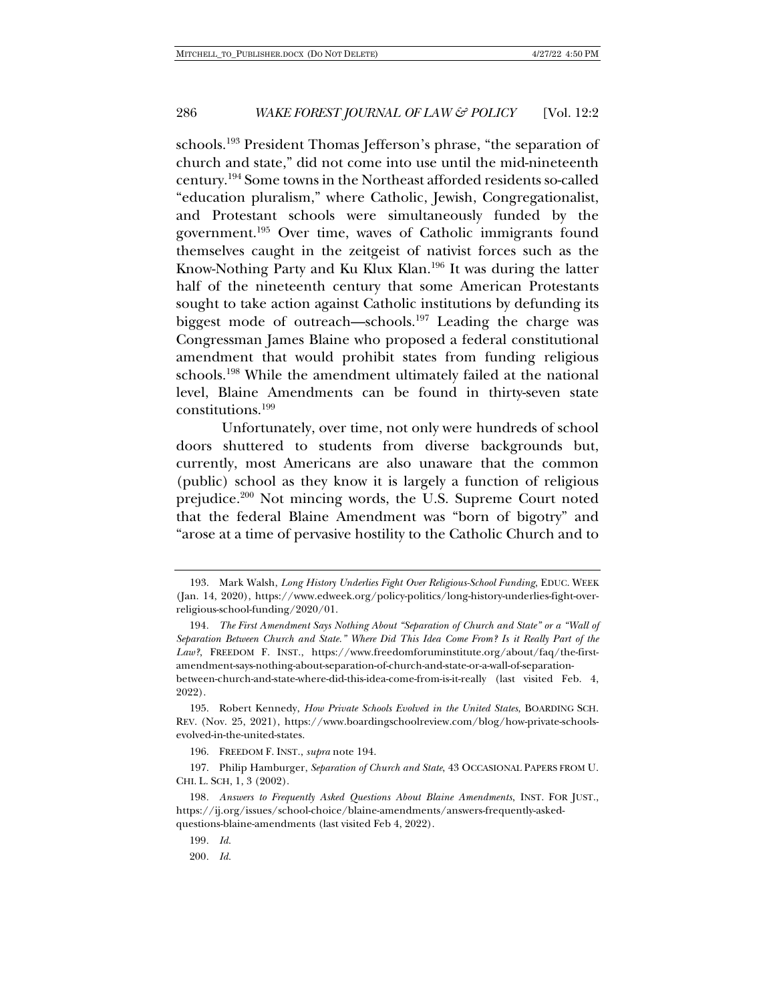schools.<sup>193</sup> President Thomas Jefferson's phrase, "the separation of church and state," did not come into use until the mid-nineteenth century.194 Some towns in the Northeast afforded residents so-called "education pluralism," where Catholic, Jewish, Congregationalist, and Protestant schools were simultaneously funded by the government.195 Over time, waves of Catholic immigrants found themselves caught in the zeitgeist of nativist forces such as the Know-Nothing Party and Ku Klux Klan.196 It was during the latter half of the nineteenth century that some American Protestants sought to take action against Catholic institutions by defunding its biggest mode of outreach—schools.197 Leading the charge was Congressman James Blaine who proposed a federal constitutional amendment that would prohibit states from funding religious schools.198 While the amendment ultimately failed at the national level, Blaine Amendments can be found in thirty-seven state constitutions.199

Unfortunately, over time, not only were hundreds of school doors shuttered to students from diverse backgrounds but, currently, most Americans are also unaware that the common (public) school as they know it is largely a function of religious prejudice.200 Not mincing words, the U.S. Supreme Court noted that the federal Blaine Amendment was "born of bigotry" and "arose at a time of pervasive hostility to the Catholic Church and to

194*. The First Amendment Says Nothing About "Separation of Church and State" or a "Wall of Separation Between Church and State." Where Did This Idea Come From? Is it Really Part of the Law?*, FREEDOM F. INST., https://www.freedomforuminstitute.org/about/faq/the-firstamendment-says-nothing-about-separation-of-church-and-state-or-a-wall-of-separationbetween-church-and-state-where-did-this-idea-come-from-is-it-really (last visited Feb. 4, 2022).

195. Robert Kennedy, *How Private Schools Evolved in the United States*, BOARDING SCH. REV. (Nov. 25, 2021), https://www.boardingschoolreview.com/blog/how-private-schoolsevolved-in-the-united-states.

196. FREEDOM F. INST., *supra* note 194.

197. Philip Hamburger, *Separation of Church and State*, 43 OCCASIONAL PAPERS FROM U. CHI. L. SCH, 1, 3 (2002).

198*. Answers to Frequently Asked Questions About Blaine Amendments*, INST. FOR JUST., https://ij.org/issues/school-choice/blaine-amendments/answers-frequently-askedquestions-blaine-amendments (last visited Feb 4, 2022).

199*. Id.*

200*. Id.*

<sup>193.</sup> Mark Walsh, *Long History Underlies Fight Over Religious-School Funding*, EDUC. WEEK (Jan. 14, 2020), https://www.edweek.org/policy-politics/long-history-underlies-fight-overreligious-school-funding/2020/01.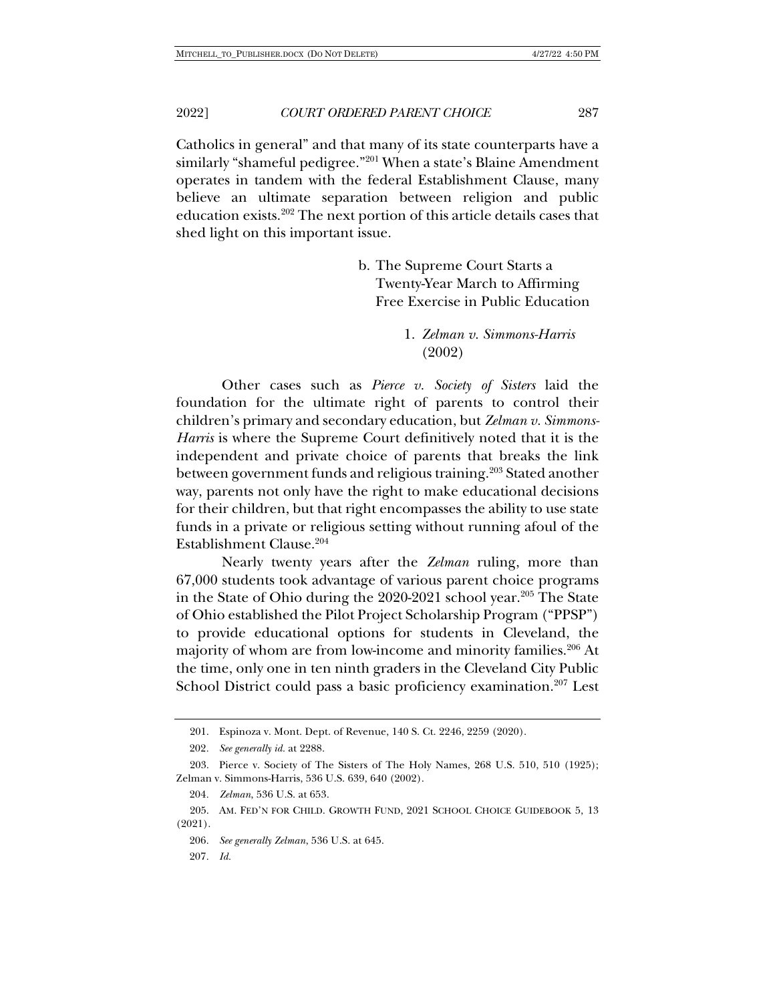Catholics in general" and that many of its state counterparts have a similarly "shameful pedigree."201 When a state's Blaine Amendment operates in tandem with the federal Establishment Clause, many believe an ultimate separation between religion and public education exists.202 The next portion of this article details cases that shed light on this important issue.

> b. The Supreme Court Starts a Twenty-Year March to Affirming Free Exercise in Public Education

> > 1. *Zelman v. Simmons-Harris* (2002)

Other cases such as *Pierce v. Society of Sisters* laid the foundation for the ultimate right of parents to control their children's primary and secondary education, but *Zelman v. Simmons-Harris* is where the Supreme Court definitively noted that it is the independent and private choice of parents that breaks the link between government funds and religious training.<sup>203</sup> Stated another way, parents not only have the right to make educational decisions for their children, but that right encompasses the ability to use state funds in a private or religious setting without running afoul of the Establishment Clause.204

Nearly twenty years after the *Zelman* ruling, more than 67,000 students took advantage of various parent choice programs in the State of Ohio during the 2020-2021 school year.<sup>205</sup> The State of Ohio established the Pilot Project Scholarship Program ("PPSP") to provide educational options for students in Cleveland, the majority of whom are from low-income and minority families.<sup>206</sup> At the time, only one in ten ninth graders in the Cleveland City Public School District could pass a basic proficiency examination.<sup>207</sup> Lest

<sup>201.</sup> Espinoza v. Mont. Dept. of Revenue, 140 S. Ct. 2246, 2259 (2020).

<sup>202</sup>*. See generally id.* at 2288.

<sup>203.</sup> Pierce v. Society of The Sisters of The Holy Names, 268 U.S. 510, 510 (1925); Zelman v. Simmons-Harris, 536 U.S. 639, 640 (2002).

<sup>204</sup>*. Zelman*, 536 U.S. at 653.

<sup>205.</sup> AM. FED'N FOR CHILD. GROWTH FUND, 2021 SCHOOL CHOICE GUIDEBOOK 5, 13 (2021).

<sup>206</sup>*. See generally Zelman*, 536 U.S. at 645.

<sup>207</sup>*. Id.*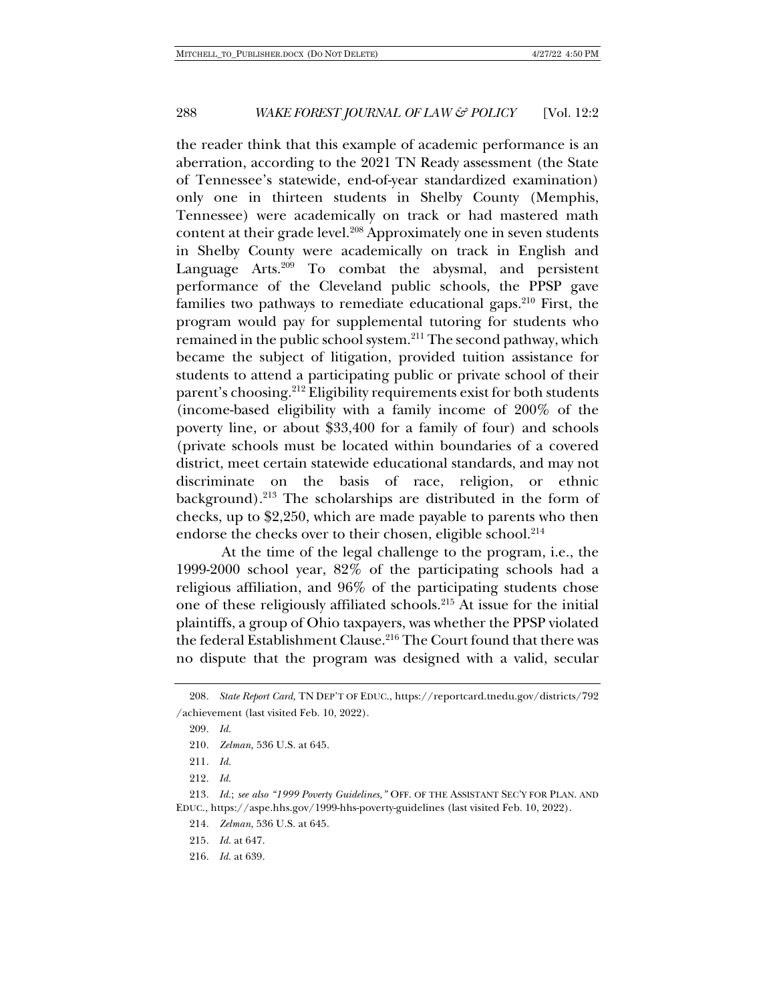the reader think that this example of academic performance is an aberration, according to the 2021 TN Ready assessment (the State of Tennessee's statewide, end-of-year standardized examination) only one in thirteen students in Shelby County (Memphis, Tennessee) were academically on track or had mastered math content at their grade level.<sup>208</sup> Approximately one in seven students in Shelby County were academically on track in English and Language Arts.<sup>209</sup> To combat the abysmal, and persistent performance of the Cleveland public schools, the PPSP gave families two pathways to remediate educational gaps. $210$  First, the program would pay for supplemental tutoring for students who remained in the public school system.211 The second pathway, which became the subject of litigation, provided tuition assistance for students to attend a participating public or private school of their parent's choosing.212 Eligibility requirements exist for both students (income-based eligibility with a family income of 200% of the poverty line, or about \$33,400 for a family of four) and schools (private schools must be located within boundaries of a covered district, meet certain statewide educational standards, and may not discriminate on the basis of race, religion, or ethnic background).<sup>213</sup> The scholarships are distributed in the form of checks, up to \$2,250, which are made payable to parents who then endorse the checks over to their chosen, eligible school.<sup>214</sup>

At the time of the legal challenge to the program, i.e., the 1999-2000 school year, 82% of the participating schools had a religious affiliation, and 96% of the participating students chose one of these religiously affiliated schools.215 At issue for the initial plaintiffs, a group of Ohio taxpayers, was whether the PPSP violated the federal Establishment Clause.<sup>216</sup> The Court found that there was no dispute that the program was designed with a valid, secular

215*. Id.* at 647.

216*. Id.* at 639.

<sup>208</sup>*. State Report Card,* TN DEP'T OF EDUC., https://reportcard.tnedu.gov/districts/792 /achievement (last visited Feb. 10, 2022).

<sup>209</sup>*. Id.*

<sup>210</sup>*. Zelman,* 536 U.S. at 645.

<sup>211</sup>*. Id.*

<sup>212</sup>*. Id.*

<sup>213</sup>*. Id.*; *see also "1999 Poverty Guidelines,"* OFF. OF THE ASSISTANT SEC'Y FOR PLAN. AND EDUC., https://aspe.hhs.gov/1999-hhs-poverty-guidelines (last visited Feb. 10, 2022).

<sup>214</sup>*. Zelman*, 536 U.S. at 645.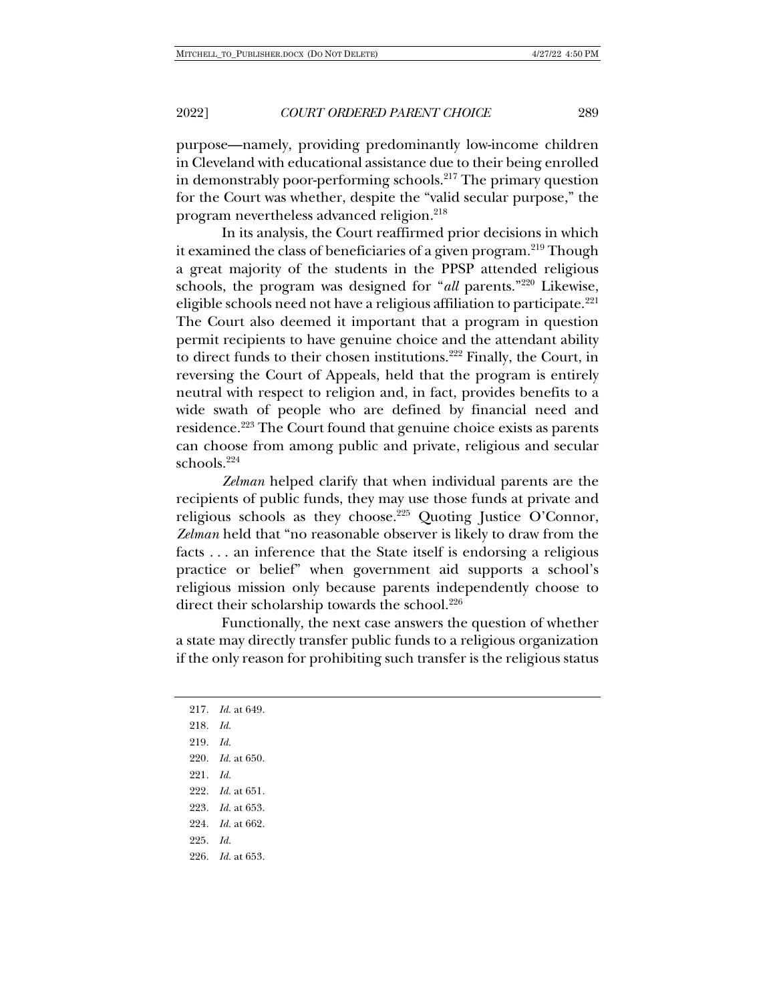purpose—namely, providing predominantly low-income children in Cleveland with educational assistance due to their being enrolled in demonstrably poor-performing schools. $217$  The primary question for the Court was whether, despite the "valid secular purpose," the program nevertheless advanced religion.<sup>218</sup>

In its analysis, the Court reaffirmed prior decisions in which it examined the class of beneficiaries of a given program.<sup>219</sup> Though a great majority of the students in the PPSP attended religious schools, the program was designed for "*all* parents."220 Likewise, eligible schools need not have a religious affiliation to participate.<sup>221</sup> The Court also deemed it important that a program in question permit recipients to have genuine choice and the attendant ability to direct funds to their chosen institutions.<sup>222</sup> Finally, the Court, in reversing the Court of Appeals, held that the program is entirely neutral with respect to religion and, in fact, provides benefits to a wide swath of people who are defined by financial need and residence.223 The Court found that genuine choice exists as parents can choose from among public and private, religious and secular schools.224

*Zelman* helped clarify that when individual parents are the recipients of public funds, they may use those funds at private and religious schools as they choose.<sup>225</sup> Quoting Justice O'Connor, *Zelman* held that "no reasonable observer is likely to draw from the facts . . . an inference that the State itself is endorsing a religious practice or belief" when government aid supports a school's religious mission only because parents independently choose to direct their scholarship towards the school.<sup>226</sup>

Functionally, the next case answers the question of whether a state may directly transfer public funds to a religious organization if the only reason for prohibiting such transfer is the religious status

217*. Id.* at 649. 218*. Id.* 219*. Id.* 220*. Id.* at 650. 221*. Id.* 222*. Id.* at 651. 223*. Id.* at 653. 224*. Id.* at 662. 225*. Id.* 226*. Id.* at 653.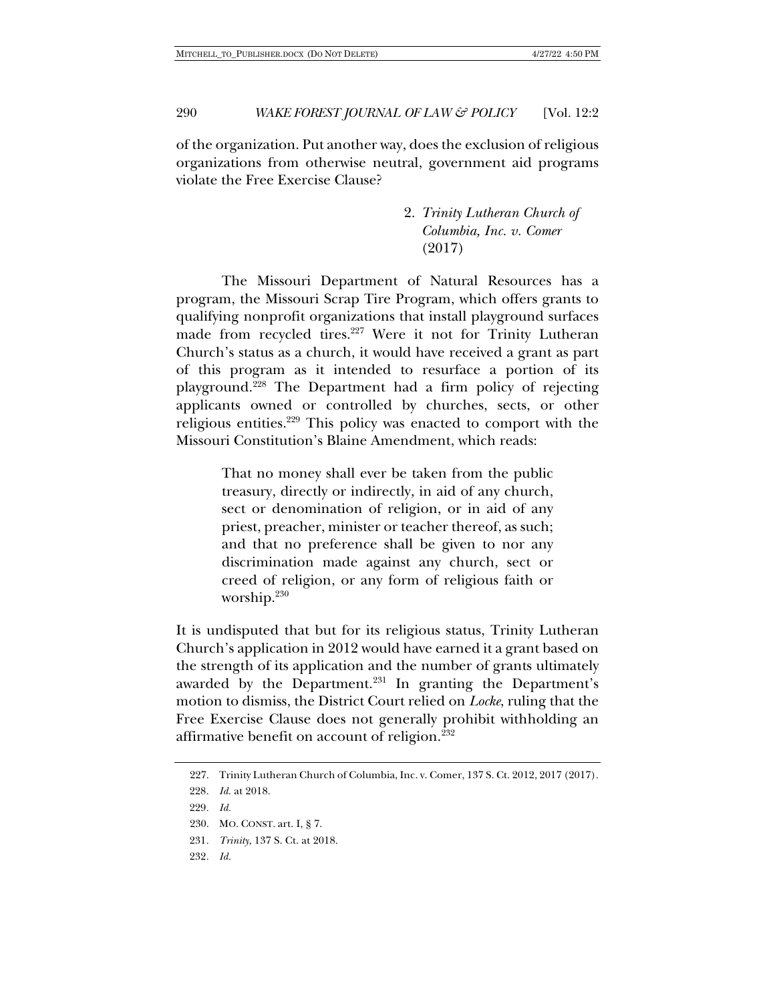of the organization. Put another way, does the exclusion of religious organizations from otherwise neutral, government aid programs violate the Free Exercise Clause?

> 2. *Trinity Lutheran Church of Columbia, Inc. v. Comer* (2017)

The Missouri Department of Natural Resources has a program, the Missouri Scrap Tire Program, which offers grants to qualifying nonprofit organizations that install playground surfaces made from recycled tires.<sup>227</sup> Were it not for Trinity Lutheran Church's status as a church, it would have received a grant as part of this program as it intended to resurface a portion of its playground.228 The Department had a firm policy of rejecting applicants owned or controlled by churches, sects, or other religious entities.229 This policy was enacted to comport with the Missouri Constitution's Blaine Amendment, which reads:

> That no money shall ever be taken from the public treasury, directly or indirectly, in aid of any church, sect or denomination of religion, or in aid of any priest, preacher, minister or teacher thereof, as such; and that no preference shall be given to nor any discrimination made against any church, sect or creed of religion, or any form of religious faith or worship.<sup>230</sup>

It is undisputed that but for its religious status, Trinity Lutheran Church's application in 2012 would have earned it a grant based on the strength of its application and the number of grants ultimately awarded by the Department.<sup>231</sup> In granting the Department's motion to dismiss, the District Court relied on *Locke*, ruling that the Free Exercise Clause does not generally prohibit withholding an affirmative benefit on account of religion.232

<sup>227.</sup> Trinity Lutheran Church of Columbia, Inc. v. Comer, 137 S. Ct. 2012, 2017 (2017).

<sup>228</sup>*. Id.* at 2018.

<sup>229</sup>*. Id.*

<sup>230.</sup> MO. CONST. art. I, § 7.

<sup>231</sup>*. Trinity*, 137 S. Ct. at 2018.

<sup>232</sup>*. Id.*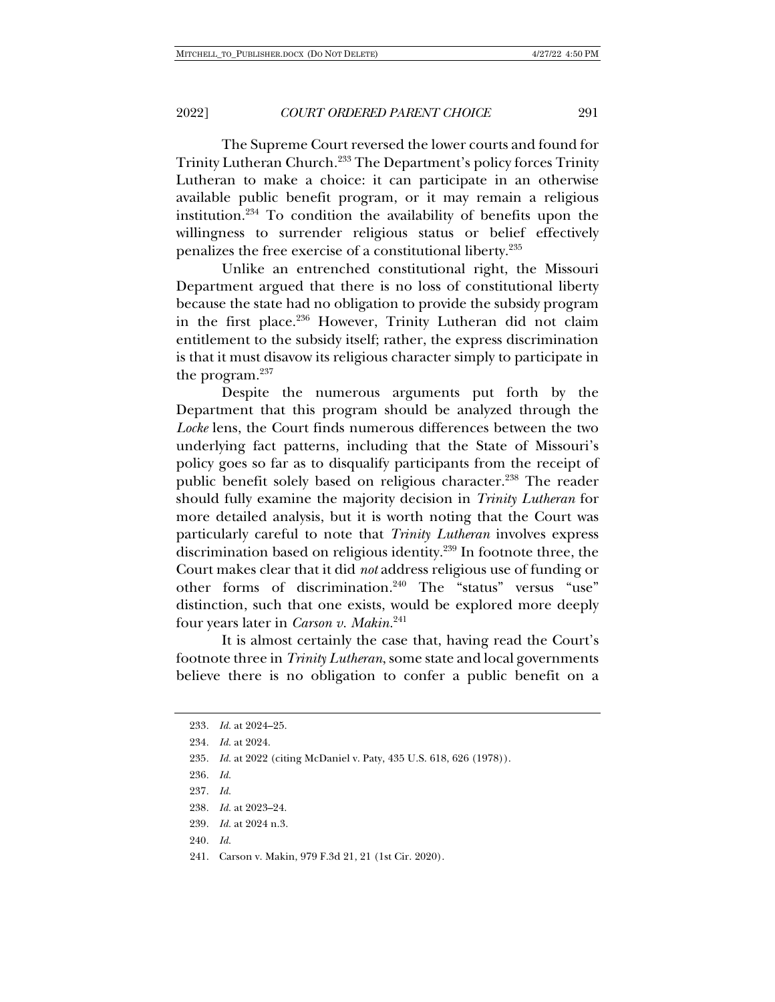The Supreme Court reversed the lower courts and found for Trinity Lutheran Church.233 The Department's policy forces Trinity Lutheran to make a choice: it can participate in an otherwise available public benefit program, or it may remain a religious institution.234 To condition the availability of benefits upon the willingness to surrender religious status or belief effectively penalizes the free exercise of a constitutional liberty.235

Unlike an entrenched constitutional right, the Missouri Department argued that there is no loss of constitutional liberty because the state had no obligation to provide the subsidy program in the first place.236 However, Trinity Lutheran did not claim entitlement to the subsidy itself; rather, the express discrimination is that it must disavow its religious character simply to participate in the program.<sup>237</sup>

Despite the numerous arguments put forth by the Department that this program should be analyzed through the *Locke* lens, the Court finds numerous differences between the two underlying fact patterns, including that the State of Missouri's policy goes so far as to disqualify participants from the receipt of public benefit solely based on religious character.<sup>238</sup> The reader should fully examine the majority decision in *Trinity Lutheran* for more detailed analysis, but it is worth noting that the Court was particularly careful to note that *Trinity Lutheran* involves express discrimination based on religious identity.239 In footnote three, the Court makes clear that it did *not* address religious use of funding or other forms of discrimination.240 The "status" versus "use" distinction, such that one exists, would be explored more deeply four years later in *Carson v. Makin.*<sup>241</sup>

It is almost certainly the case that, having read the Court's footnote three in *Trinity Lutheran*, some state and local governments believe there is no obligation to confer a public benefit on a

<sup>233</sup>*. Id.* at 2024–25. 234*. Id.* at 2024. 235*. Id.* at 2022 (citing McDaniel v. Paty, 435 U.S. 618, 626 (1978)). 236*. Id.* 237*. Id.* 238*. Id.* at 2023–24. 239*. Id.* at 2024 n.3. 240*. Id.* 241. Carson v. Makin, 979 F.3d 21, 21 (1st Cir. 2020).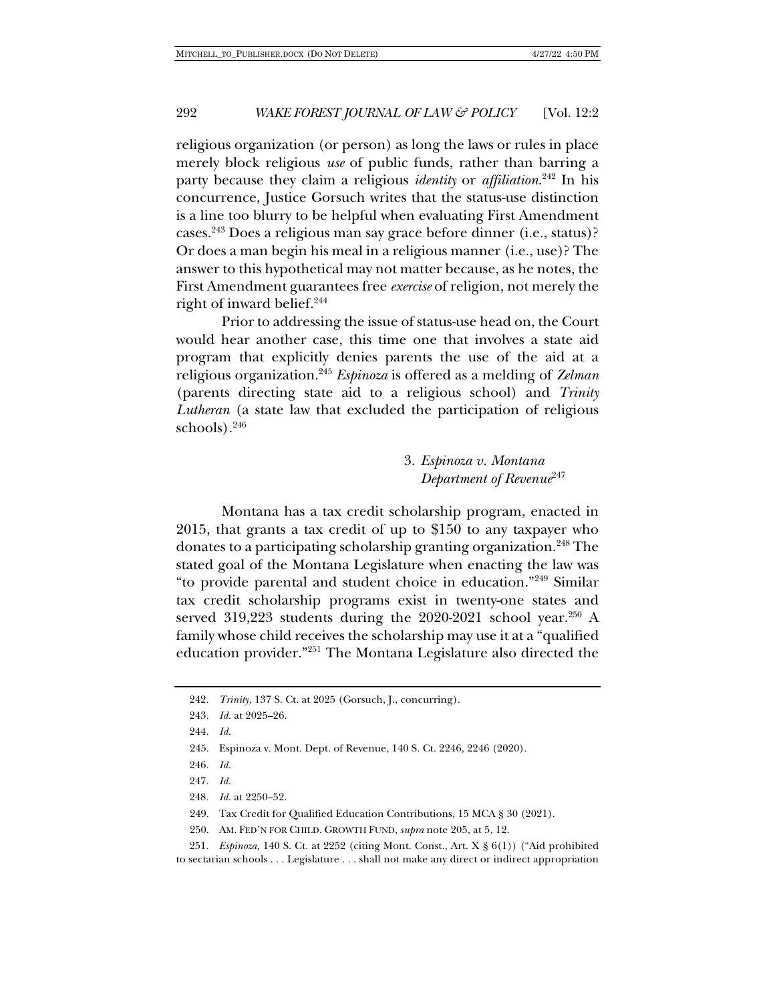religious organization (or person) as long the laws or rules in place merely block religious *use* of public funds, rather than barring a party because they claim a religious *identity* or *affiliation*. <sup>242</sup> In his concurrence, Justice Gorsuch writes that the status-use distinction is a line too blurry to be helpful when evaluating First Amendment cases.243 Does a religious man say grace before dinner (i.e., status)? Or does a man begin his meal in a religious manner (i.e., use)? The answer to this hypothetical may not matter because, as he notes, the First Amendment guarantees free *exercise* of religion, not merely the right of inward belief.244

Prior to addressing the issue of status-use head on, the Court would hear another case, this time one that involves a state aid program that explicitly denies parents the use of the aid at a religious organization.245 *Espinoza* is offered as a melding of *Zelman* (parents directing state aid to a religious school) and *Trinity Lutheran* (a state law that excluded the participation of religious schools). $246$ 

> 3. *Espinoza v. Montana Department of Revenue*<sup>247</sup>

Montana has a tax credit scholarship program, enacted in 2015, that grants a tax credit of up to \$150 to any taxpayer who donates to a participating scholarship granting organization.<sup>248</sup> The stated goal of the Montana Legislature when enacting the law was "to provide parental and student choice in education."249 Similar tax credit scholarship programs exist in twenty-one states and served 319,223 students during the 2020-2021 school year.<sup>250</sup> A family whose child receives the scholarship may use it at a "qualified education provider."251 The Montana Legislature also directed the

- 246*. Id.*
- 247*. Id.*
- 248*. Id.* at 2250–52.

<sup>242</sup>*. Trinity,* 137 S. Ct. at 2025 (Gorsuch, J., concurring).

<sup>243</sup>*. Id.* at 2025–26.

<sup>244</sup>*. Id.*

<sup>245.</sup> Espinoza v. Mont. Dept. of Revenue, 140 S. Ct. 2246, 2246 (2020).

<sup>249.</sup> Tax Credit for Qualified Education Contributions, 15 MCA § 30 (2021).

<sup>250.</sup> AM. FED'N FOR CHILD. GROWTH FUND, *supra* note 205, at 5, 12.

<sup>251</sup>*. Espinoza,* 140 S. Ct. at 2252 (citing Mont. Const., Art. X § 6(1)) ("Aid prohibited to sectarian schools . . . Legislature . . . shall not make any direct or indirect appropriation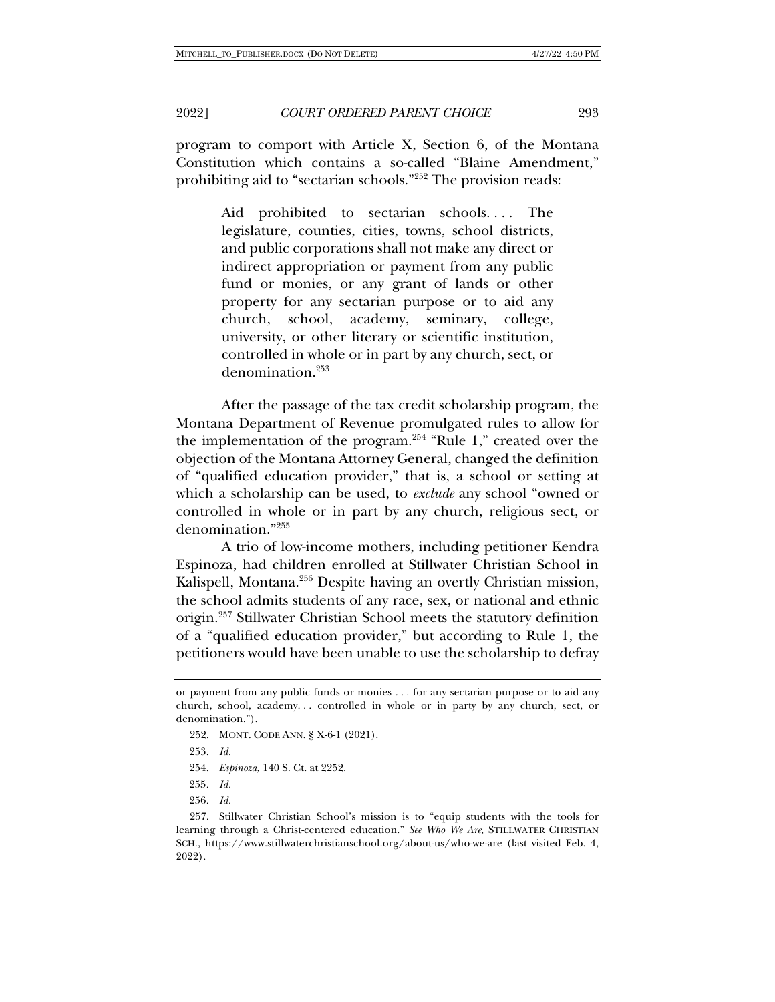program to comport with Article X, Section 6, of the Montana Constitution which contains a so-called "Blaine Amendment," prohibiting aid to "sectarian schools."252 The provision reads:

> Aid prohibited to sectarian schools.... The legislature, counties, cities, towns, school districts, and public corporations shall not make any direct or indirect appropriation or payment from any public fund or monies, or any grant of lands or other property for any sectarian purpose or to aid any church, school, academy, seminary, college, university, or other literary or scientific institution, controlled in whole or in part by any church, sect, or denomination.253

After the passage of the tax credit scholarship program, the Montana Department of Revenue promulgated rules to allow for the implementation of the program.<sup>254</sup> "Rule 1," created over the objection of the Montana Attorney General, changed the definition of "qualified education provider," that is, a school or setting at which a scholarship can be used, to *exclude* any school "owned or controlled in whole or in part by any church, religious sect, or denomination."255

A trio of low-income mothers, including petitioner Kendra Espinoza, had children enrolled at Stillwater Christian School in Kalispell, Montana.256 Despite having an overtly Christian mission, the school admits students of any race, sex, or national and ethnic origin.257 Stillwater Christian School meets the statutory definition of a "qualified education provider," but according to Rule 1, the petitioners would have been unable to use the scholarship to defray

256*. Id.*

or payment from any public funds or monies . . . for any sectarian purpose or to aid any church, school, academy. . . controlled in whole or in party by any church, sect, or denomination.").

<sup>252.</sup> MONT. CODE ANN. § X-6-1 (2021).

<sup>253</sup>*. Id.*

<sup>254</sup>*. Espinoza,* 140 S. Ct. at 2252.

<sup>255</sup>*. Id.*

<sup>257.</sup> Stillwater Christian School's mission is to "equip students with the tools for learning through a Christ-centered education." *See Who We Are*, STILLWATER CHRISTIAN SCH., https://www.stillwaterchristianschool.org/about-us/who-we-are (last visited Feb. 4, 2022).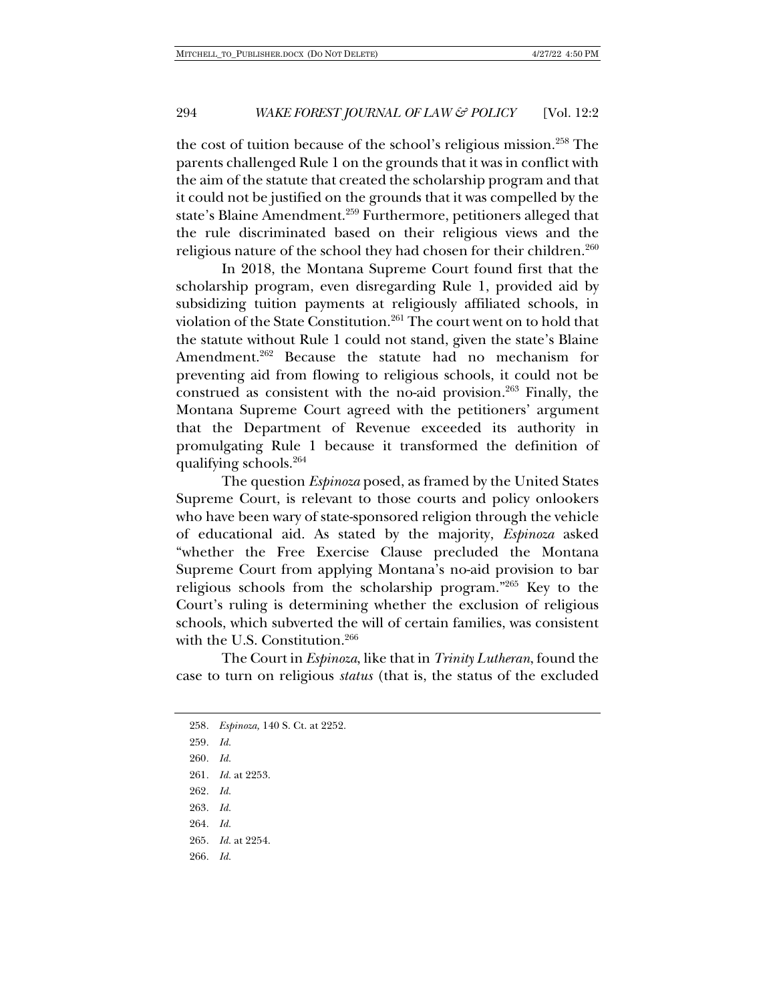the cost of tuition because of the school's religious mission.258 The parents challenged Rule 1 on the grounds that it was in conflict with the aim of the statute that created the scholarship program and that it could not be justified on the grounds that it was compelled by the state's Blaine Amendment.<sup>259</sup> Furthermore, petitioners alleged that the rule discriminated based on their religious views and the religious nature of the school they had chosen for their children.<sup>260</sup>

In 2018, the Montana Supreme Court found first that the scholarship program, even disregarding Rule 1, provided aid by subsidizing tuition payments at religiously affiliated schools, in violation of the State Constitution.261 The court went on to hold that the statute without Rule 1 could not stand, given the state's Blaine Amendment.<sup>262</sup> Because the statute had no mechanism for preventing aid from flowing to religious schools, it could not be construed as consistent with the no-aid provision.<sup>263</sup> Finally, the Montana Supreme Court agreed with the petitioners' argument that the Department of Revenue exceeded its authority in promulgating Rule 1 because it transformed the definition of qualifying schools.264

The question *Espinoza* posed, as framed by the United States Supreme Court, is relevant to those courts and policy onlookers who have been wary of state-sponsored religion through the vehicle of educational aid. As stated by the majority, *Espinoza* asked "whether the Free Exercise Clause precluded the Montana Supreme Court from applying Montana's no-aid provision to bar religious schools from the scholarship program."265 Key to the Court's ruling is determining whether the exclusion of religious schools, which subverted the will of certain families, was consistent with the U.S. Constitution.<sup>266</sup>

The Court in *Espinoza*, like that in *Trinity Lutheran*, found the case to turn on religious *status* (that is, the status of the excluded

258*. Espinoza,* 140 S. Ct. at 2252. 259*. Id.* 260*. Id.* 261*. Id.* at 2253. 262*. Id.* 263*. Id.* 264*. Id.* 265*. Id.* at 2254. 266*. Id.*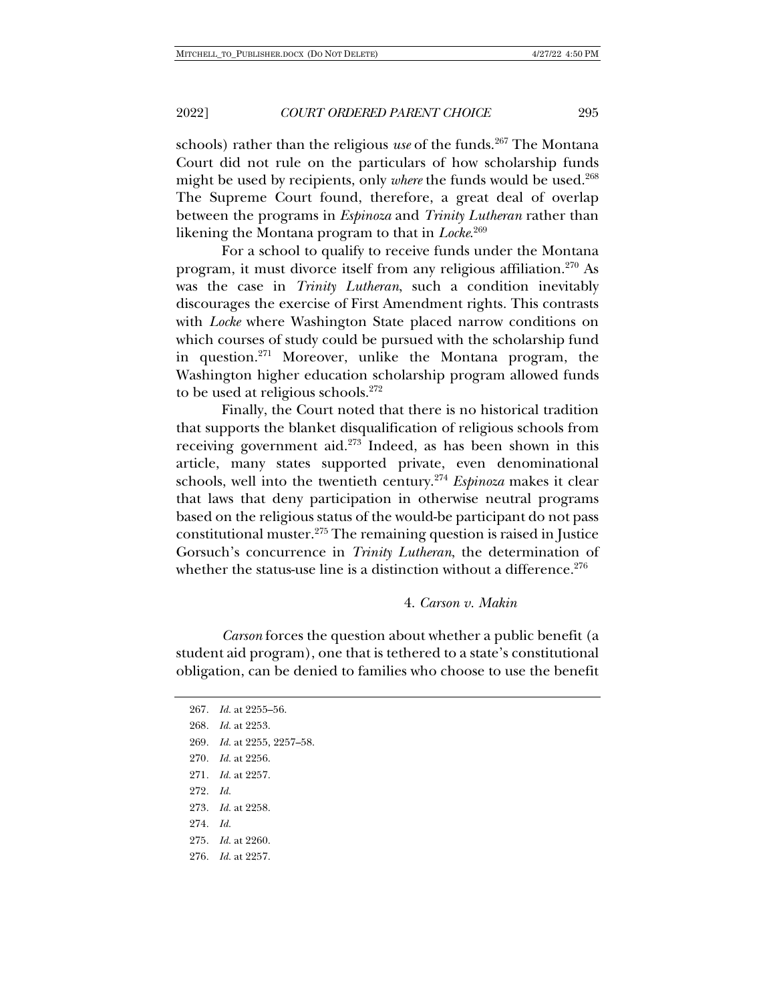schools) rather than the religious *use* of the funds.<sup>267</sup> The Montana Court did not rule on the particulars of how scholarship funds might be used by recipients, only *where* the funds would be used.<sup>268</sup> The Supreme Court found, therefore, a great deal of overlap between the programs in *Espinoza* and *Trinity Lutheran* rather than likening the Montana program to that in *Locke*. 269

For a school to qualify to receive funds under the Montana program, it must divorce itself from any religious affiliation.<sup>270</sup> As was the case in *Trinity Lutheran*, such a condition inevitably discourages the exercise of First Amendment rights. This contrasts with *Locke* where Washington State placed narrow conditions on which courses of study could be pursued with the scholarship fund in question.271 Moreover, unlike the Montana program, the Washington higher education scholarship program allowed funds to be used at religious schools.<sup>272</sup>

Finally, the Court noted that there is no historical tradition that supports the blanket disqualification of religious schools from receiving government aid.<sup>273</sup> Indeed, as has been shown in this article, many states supported private, even denominational schools, well into the twentieth century.274 *Espinoza* makes it clear that laws that deny participation in otherwise neutral programs based on the religious status of the would-be participant do not pass constitutional muster.275 The remaining question is raised in Justice Gorsuch's concurrence in *Trinity Lutheran*, the determination of whether the status-use line is a distinction without a difference.  $276$ 

#### 4. *Carson v. Makin*

*Carson* forces the question about whether a public benefit (a student aid program), one that is tethered to a state's constitutional obligation, can be denied to families who choose to use the benefit

*. Id.* at 2255–56. *. Id.* at 2253. *. Id.* at 2255, 2257–58. *. Id.* at 2256. *. Id.* at 2257. 272*. Id. . Id.* at 2258. 274*. Id. . Id.* at 2260. *. Id.* at 2257.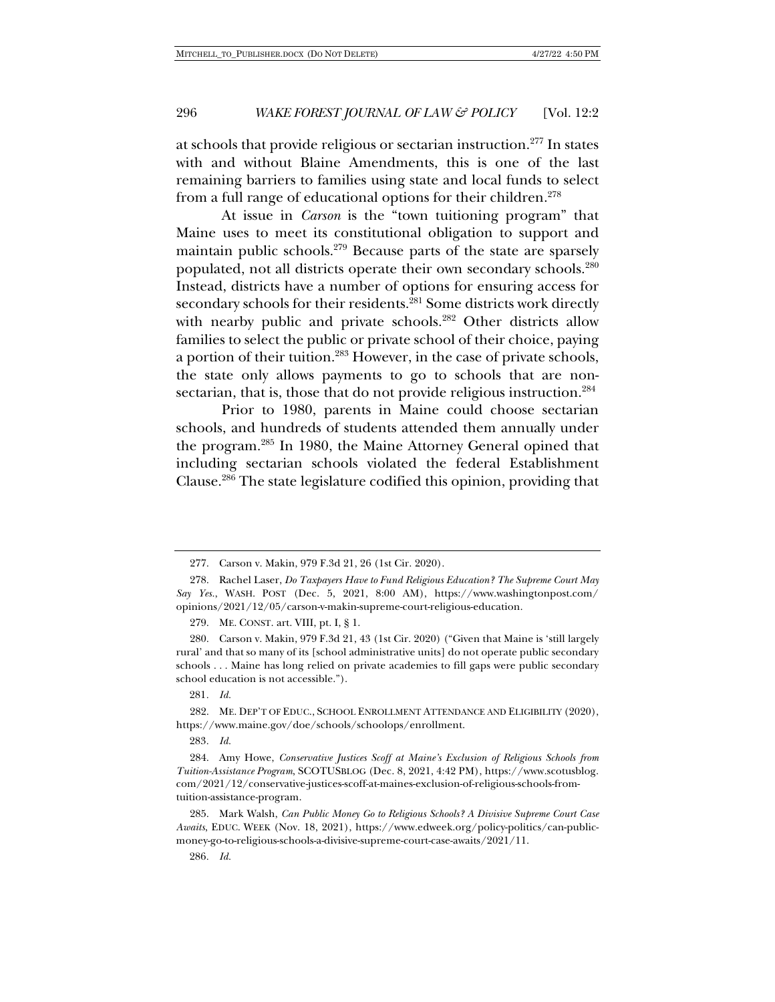at schools that provide religious or sectarian instruction.277 In states with and without Blaine Amendments, this is one of the last remaining barriers to families using state and local funds to select from a full range of educational options for their children.<sup>278</sup>

At issue in *Carson* is the "town tuitioning program" that Maine uses to meet its constitutional obligation to support and maintain public schools.<sup>279</sup> Because parts of the state are sparsely populated, not all districts operate their own secondary schools.280 Instead, districts have a number of options for ensuring access for secondary schools for their residents.<sup>281</sup> Some districts work directly with nearby public and private schools.<sup>282</sup> Other districts allow families to select the public or private school of their choice, paying a portion of their tuition.283 However, in the case of private schools, the state only allows payments to go to schools that are nonsectarian, that is, those that do not provide religious instruction.<sup>284</sup>

Prior to 1980, parents in Maine could choose sectarian schools, and hundreds of students attended them annually under the program.285 In 1980, the Maine Attorney General opined that including sectarian schools violated the federal Establishment Clause.286 The state legislature codified this opinion, providing that

279. ME. CONST. art. VIII, pt. I, § 1.

280. Carson v. Makin, 979 F.3d 21, 43 (1st Cir. 2020) ("Given that Maine is 'still largely rural' and that so many of its [school administrative units] do not operate public secondary schools . . . Maine has long relied on private academies to fill gaps were public secondary school education is not accessible.").

281*. Id.*

282. ME. DEP'T OF EDUC., SCHOOL ENROLLMENT ATTENDANCE AND ELIGIBILITY (2020), https://www.maine.gov/doe/schools/schoolops/enrollment.

283*. Id.*

284. Amy Howe, *Conservative Justices Scoff at Maine's Exclusion of Religious Schools from Tuition-Assistance Program*, SCOTUSBLOG (Dec. 8, 2021, 4:42 PM), https://www.scotusblog. com/2021/12/conservative-justices-scoff-at-maines-exclusion-of-religious-schools-fromtuition-assistance-program.

285. Mark Walsh, *Can Public Money Go to Religious Schools? A Divisive Supreme Court Case Awaits*, EDUC. WEEK (Nov. 18, 2021), https://www.edweek.org/policy-politics/can-publicmoney-go-to-religious-schools-a-divisive-supreme-court-case-awaits/2021/11.

286*. Id.*

<sup>277.</sup> Carson v. Makin, 979 F.3d 21, 26 (1st Cir. 2020).

<sup>278.</sup> Rachel Laser, *Do Taxpayers Have to Fund Religious Education? The Supreme Court May Say Yes.*, WASH. POST (Dec. 5, 2021, 8:00 AM), https://www.washingtonpost.com/ opinions/2021/12/05/carson-v-makin-supreme-court-religious-education.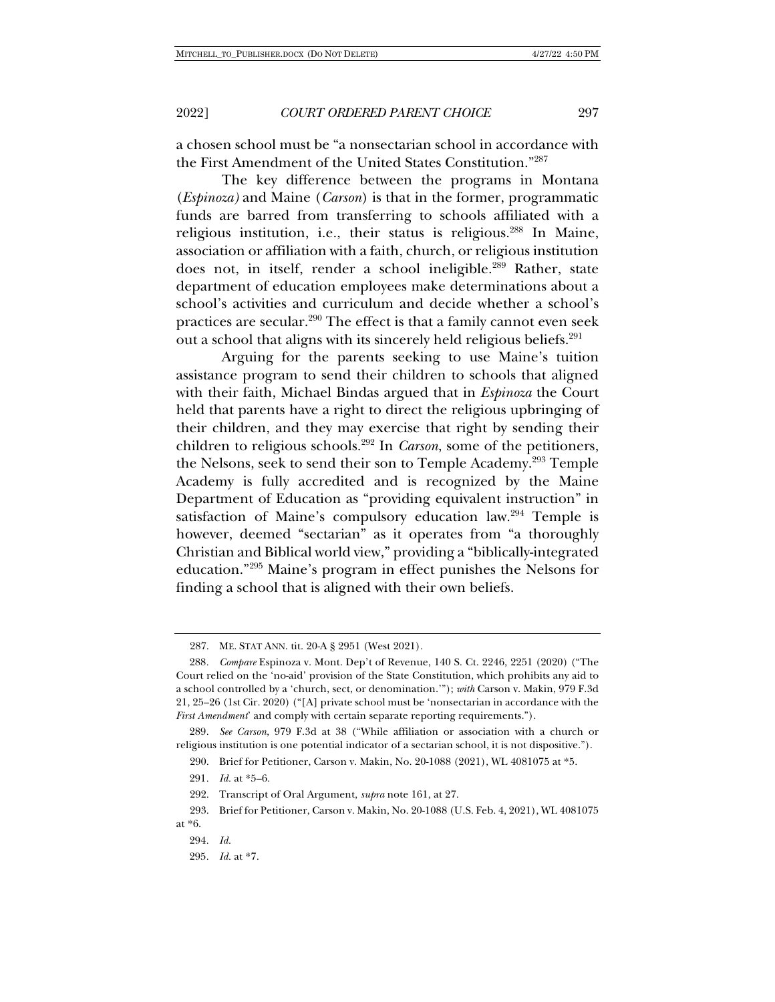a chosen school must be "a nonsectarian school in accordance with the First Amendment of the United States Constitution."287

The key difference between the programs in Montana (*Espinoza)* and Maine (*Carson*) is that in the former, programmatic funds are barred from transferring to schools affiliated with a religious institution, i.e., their status is religious.288 In Maine, association or affiliation with a faith, church, or religious institution does not, in itself, render a school ineligible.289 Rather, state department of education employees make determinations about a school's activities and curriculum and decide whether a school's practices are secular.290 The effect is that a family cannot even seek out a school that aligns with its sincerely held religious beliefs.291

Arguing for the parents seeking to use Maine's tuition assistance program to send their children to schools that aligned with their faith, Michael Bindas argued that in *Espinoza* the Court held that parents have a right to direct the religious upbringing of their children, and they may exercise that right by sending their children to religious schools.292 In *Carson*, some of the petitioners, the Nelsons, seek to send their son to Temple Academy.<sup>293</sup> Temple Academy is fully accredited and is recognized by the Maine Department of Education as "providing equivalent instruction" in satisfaction of Maine's compulsory education law.<sup>294</sup> Temple is however, deemed "sectarian" as it operates from "a thoroughly Christian and Biblical world view," providing a "biblically-integrated education."295 Maine's program in effect punishes the Nelsons for finding a school that is aligned with their own beliefs.

295*. Id.* at \*7.

<sup>287.</sup> ME. STAT ANN. tit. 20-A § 2951 (West 2021).

<sup>288</sup>*. Compare* Espinoza v. Mont. Dep't of Revenue, 140 S. Ct. 2246, 2251 (2020) ("The Court relied on the 'no-aid' provision of the State Constitution, which prohibits any aid to a school controlled by a 'church, sect, or denomination.'"); *with* Carson v. Makin, 979 F.3d 21, 25–26 (1st Cir. 2020) ("[A] private school must be 'nonsectarian in accordance with the *First Amendment*' and comply with certain separate reporting requirements.").

<sup>289</sup>*. See Carson*, 979 F.3d at 38 ("While affiliation or association with a church or religious institution is one potential indicator of a sectarian school, it is not dispositive.").

<sup>290.</sup> Brief for Petitioner, Carson v. Makin, No. 20-1088 (2021), WL 4081075 at \*5.

<sup>291</sup>*. Id.* at \*5–6.

<sup>292.</sup> Transcript of Oral Argument, *supra* note 161, at 27.

<sup>293.</sup> Brief for Petitioner, Carson v. Makin, No. 20-1088 (U.S. Feb. 4, 2021), WL 4081075 at \*6.

<sup>294</sup>*. Id.*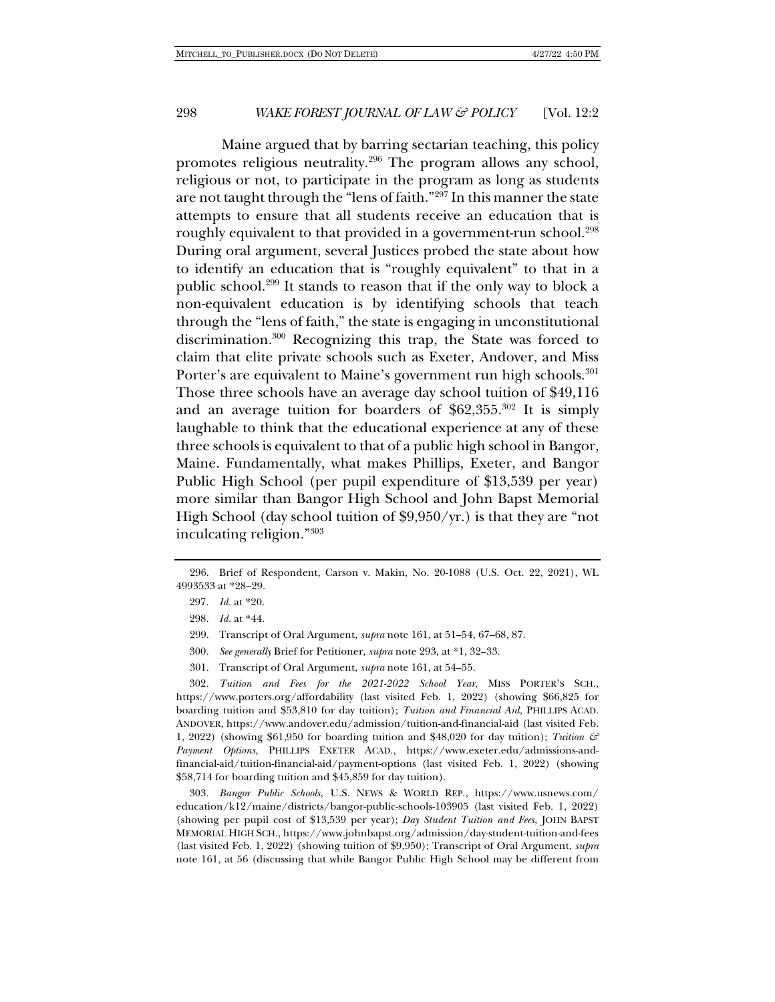Maine argued that by barring sectarian teaching, this policy promotes religious neutrality.296 The program allows any school, religious or not, to participate in the program as long as students are not taught through the "lens of faith."297 In this manner the state attempts to ensure that all students receive an education that is roughly equivalent to that provided in a government-run school.<sup>298</sup> During oral argument, several Justices probed the state about how to identify an education that is "roughly equivalent" to that in a public school.299 It stands to reason that if the only way to block a non-equivalent education is by identifying schools that teach through the "lens of faith," the state is engaging in unconstitutional discrimination.300 Recognizing this trap, the State was forced to claim that elite private schools such as Exeter, Andover, and Miss Porter's are equivalent to Maine's government run high schools.<sup>301</sup> Those three schools have an average day school tuition of \$49,116 and an average tuition for boarders of \$62,355.302 It is simply laughable to think that the educational experience at any of these three schools is equivalent to that of a public high school in Bangor, Maine. Fundamentally, what makes Phillips, Exeter, and Bangor Public High School (per pupil expenditure of \$13,539 per year) more similar than Bangor High School and John Bapst Memorial High School (day school tuition of \$9,950/yr.) is that they are "not inculcating religion."303

- 300*. See generally* Brief for Petitioner, *supra* note 293, at \*1, 32–33.
- 301. Transcript of Oral Argument, *supra* note 161, at 54–55.

302*. Tuition and Fees for the 2021-2022 School Year*, MISS PORTER'S SCH., https://www.porters.org/affordability (last visited Feb. 1, 2022) (showing \$66,825 for boarding tuition and \$53,810 for day tuition); *Tuition and Financial Aid*, PHILLIPS ACAD. ANDOVER, https://www.andover.edu/admission/tuition-and-financial-aid (last visited Feb. 1, 2022) (showing \$61,950 for boarding tuition and \$48,020 for day tuition); *Tuition & Payment Options*, PHILLIPS EXETER ACAD., https://www.exeter.edu/admissions-andfinancial-aid/tuition-financial-aid/payment-options (last visited Feb. 1, 2022) (showing \$58,714 for boarding tuition and \$45,859 for day tuition).

303*. Bangor Public Schools*, U.S. NEWS & WORLD REP., https://www.usnews.com/ education/k12/maine/districts/bangor-public-schools-103905 (last visited Feb. 1, 2022) (showing per pupil cost of \$13,539 per year); *Day Student Tuition and Fees*, JOHN BAPST MEMORIAL HIGH SCH., https://www.johnbapst.org/admission/day-student-tuition-and-fees (last visited Feb. 1, 2022) (showing tuition of \$9,950); Transcript of Oral Argument, *supra* note 161, at 56 (discussing that while Bangor Public High School may be different from

<sup>296.</sup> Brief of Respondent, Carson v. Makin, No. 20-1088 (U.S. Oct. 22, 2021), WL 4993533 at \*28–29.

<sup>297</sup>*. Id.* at \*20.

<sup>298</sup>*. Id.* at \*44.

<sup>299.</sup> Transcript of Oral Argument, *supra* note 161, at 51–54, 67–68, 87.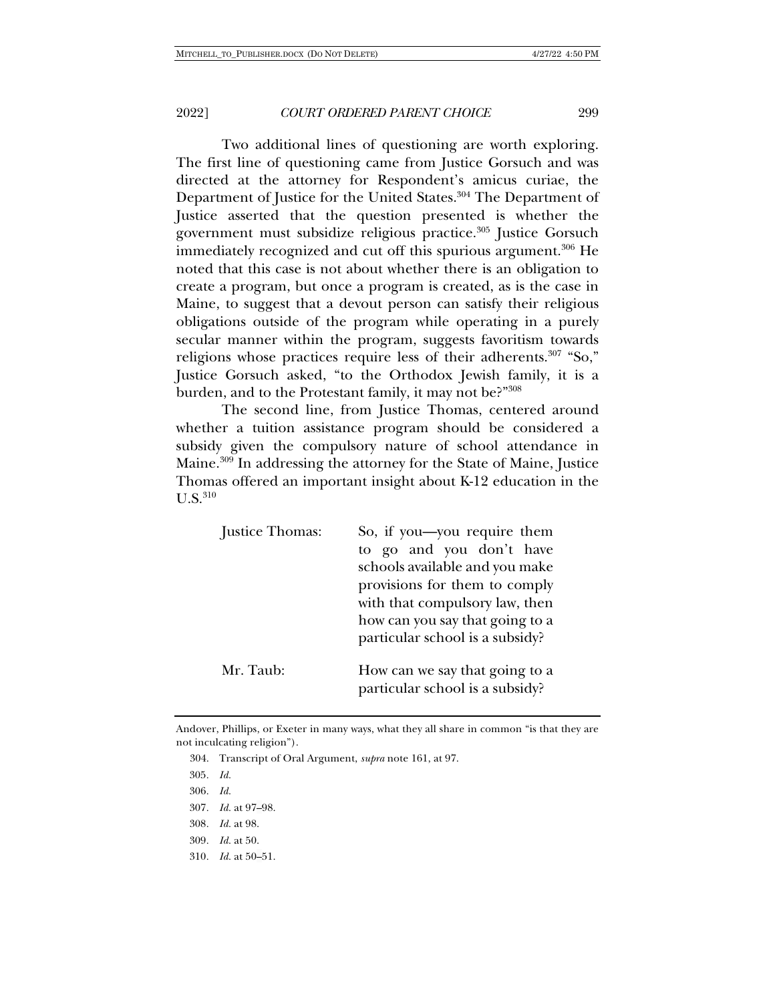Two additional lines of questioning are worth exploring. The first line of questioning came from Justice Gorsuch and was directed at the attorney for Respondent's amicus curiae, the Department of Justice for the United States.<sup>304</sup> The Department of Justice asserted that the question presented is whether the government must subsidize religious practice.305 Justice Gorsuch immediately recognized and cut off this spurious argument.<sup>306</sup> He noted that this case is not about whether there is an obligation to create a program, but once a program is created, as is the case in Maine, to suggest that a devout person can satisfy their religious obligations outside of the program while operating in a purely secular manner within the program, suggests favoritism towards religions whose practices require less of their adherents.<sup>307</sup> "So," Justice Gorsuch asked, "to the Orthodox Jewish family, it is a burden, and to the Protestant family, it may not be?"308

The second line, from Justice Thomas, centered around whether a tuition assistance program should be considered a subsidy given the compulsory nature of school attendance in Maine.309 In addressing the attorney for the State of Maine, Justice Thomas offered an important insight about K-12 education in the  $II S<sup>310</sup>$ 

| Justice Thomas: | So, if you—you require them<br>to go and you don't have<br>schools available and you make<br>provisions for them to comply<br>with that compulsory law, then<br>how can you say that going to a<br>particular school is a subsidy? |
|-----------------|------------------------------------------------------------------------------------------------------------------------------------------------------------------------------------------------------------------------------------|
| Mr. Taub:       | How can we say that going to a<br>particular school is a subsidy?                                                                                                                                                                  |

Andover, Phillips, or Exeter in many ways, what they all share in common "is that they are not inculcating religion").

- 304. Transcript of Oral Argument, *supra* note 161, at 97.
- 305*. Id.*
- 306*. Id.*
- 307*. Id.* at 97–98.
- 308*. Id.* at 98.
- 309*. Id.* at 50.
- 310*. Id.* at 50–51.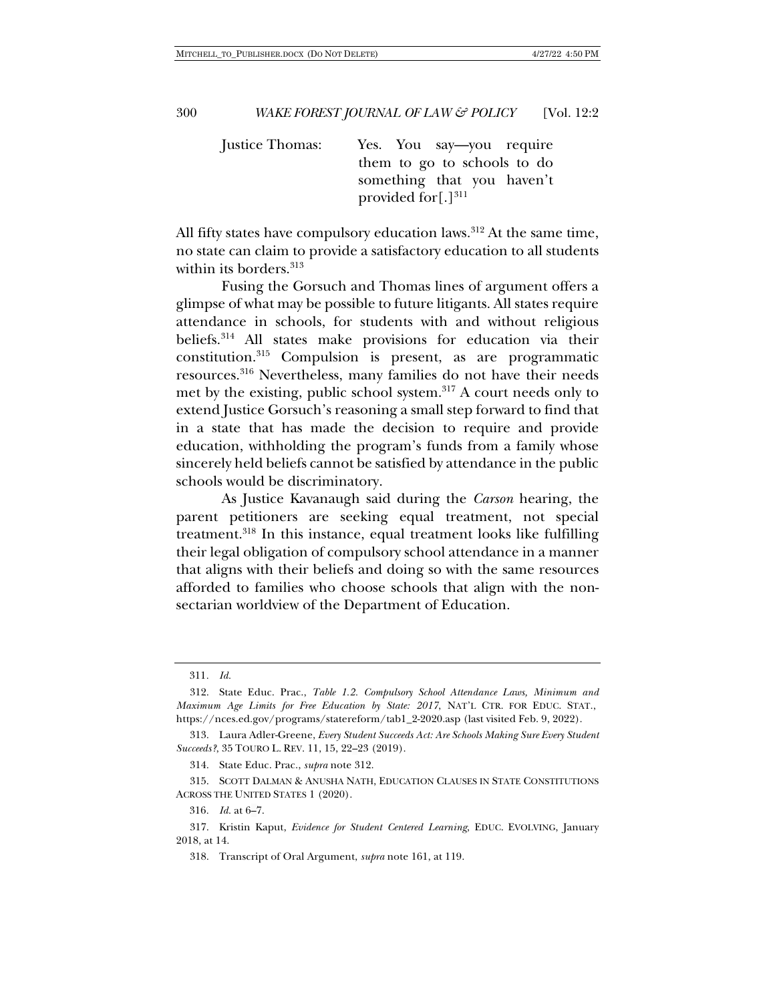Justice Thomas: Yes. You say—you require them to go to schools to do something that you haven't provided for $[.]^{311}$ 

All fifty states have compulsory education laws. $312$  At the same time, no state can claim to provide a satisfactory education to all students within its borders.<sup>313</sup>

Fusing the Gorsuch and Thomas lines of argument offers a glimpse of what may be possible to future litigants. All states require attendance in schools, for students with and without religious beliefs.314 All states make provisions for education via their constitution.315 Compulsion is present, as are programmatic resources.316 Nevertheless, many families do not have their needs met by the existing, public school system.317 A court needs only to extend Justice Gorsuch's reasoning a small step forward to find that in a state that has made the decision to require and provide education, withholding the program's funds from a family whose sincerely held beliefs cannot be satisfied by attendance in the public schools would be discriminatory.

As Justice Kavanaugh said during the *Carson* hearing, the parent petitioners are seeking equal treatment, not special treatment.318 In this instance, equal treatment looks like fulfilling their legal obligation of compulsory school attendance in a manner that aligns with their beliefs and doing so with the same resources afforded to families who choose schools that align with the nonsectarian worldview of the Department of Education.

314. State Educ. Prac., *supra* note 312.

315. SCOTT DALMAN & ANUSHA NATH, EDUCATION CLAUSES IN STATE CONSTITUTIONS ACROSS THE UNITED STATES 1 (2020).

316*. Id.* at 6–7.

318. Transcript of Oral Argument, *supra* note 161, at 119.

<sup>311</sup>*. Id.*

<sup>312.</sup> State Educ. Prac., *Table 1.2. Compulsory School Attendance Laws, Minimum and Maximum Age Limits for Free Education by State: 2017*, NAT'L CTR. FOR EDUC. STAT., https://nces.ed.gov/programs/statereform/tab1\_2-2020.asp (last visited Feb. 9, 2022).

<sup>313.</sup> Laura Adler-Greene, *Every Student Succeeds Act: Are Schools Making Sure Every Student Succeeds?*, 35 TOURO L. REV. 11, 15, 22–23 (2019).

<sup>317.</sup> Kristin Kaput, *Evidence for Student Centered Learning*, EDUC. EVOLVING, January 2018, at 14.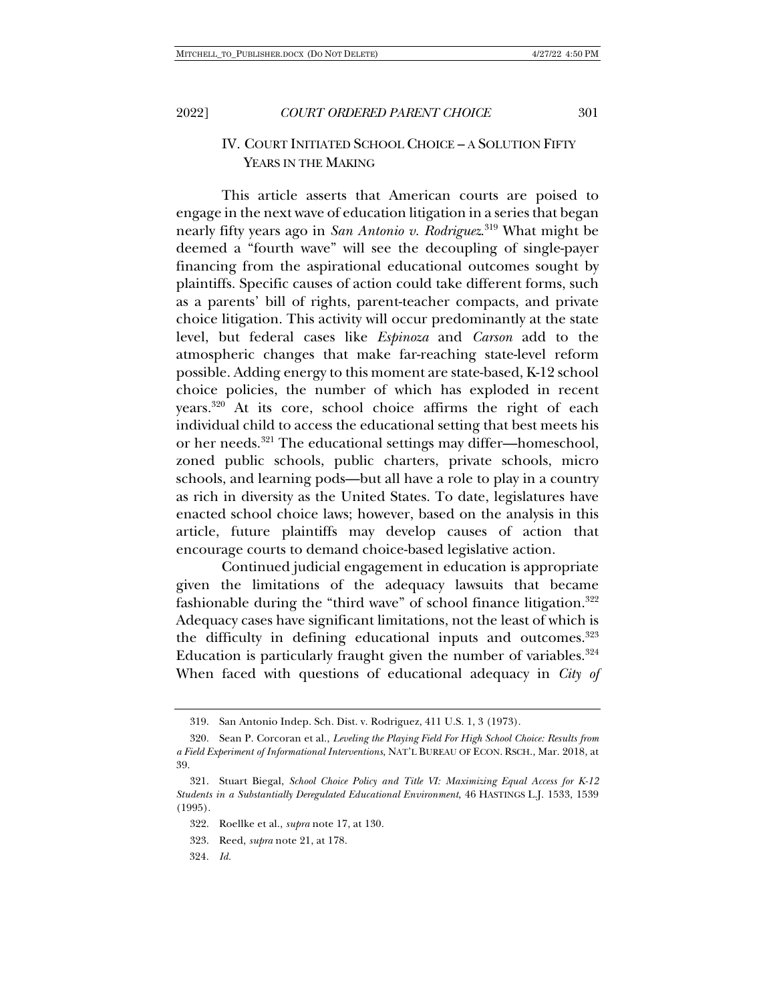## IV. COURT INITIATED SCHOOL CHOICE – A SOLUTION FIFTY YEARS IN THE MAKING

This article asserts that American courts are poised to engage in the next wave of education litigation in a series that began nearly fifty years ago in *San Antonio v. Rodriguez*. <sup>319</sup> What might be deemed a "fourth wave" will see the decoupling of single-payer financing from the aspirational educational outcomes sought by plaintiffs. Specific causes of action could take different forms, such as a parents' bill of rights, parent-teacher compacts, and private choice litigation. This activity will occur predominantly at the state level, but federal cases like *Espinoza* and *Carson* add to the atmospheric changes that make far-reaching state-level reform possible. Adding energy to this moment are state-based, K-12 school choice policies, the number of which has exploded in recent years.320 At its core, school choice affirms the right of each individual child to access the educational setting that best meets his or her needs.321 The educational settings may differ—homeschool, zoned public schools, public charters, private schools, micro schools, and learning pods—but all have a role to play in a country as rich in diversity as the United States. To date, legislatures have enacted school choice laws; however, based on the analysis in this article, future plaintiffs may develop causes of action that encourage courts to demand choice-based legislative action.

Continued judicial engagement in education is appropriate given the limitations of the adequacy lawsuits that became fashionable during the "third wave" of school finance litigation.<sup>322</sup> Adequacy cases have significant limitations, not the least of which is the difficulty in defining educational inputs and outcomes.<sup>323</sup> Education is particularly fraught given the number of variables. $324$ When faced with questions of educational adequacy in *City of* 

324*. Id.*

<sup>319.</sup> San Antonio Indep. Sch. Dist. v. Rodriguez, 411 U.S. 1, 3 (1973).

<sup>320.</sup> Sean P. Corcoran et al., *Leveling the Playing Field For High School Choice: Results from a Field Experiment of Informational Interventions*, NAT'L BUREAU OF ECON. RSCH., Mar. 2018, at 39.

<sup>321.</sup> Stuart Biegal, *School Choice Policy and Title VI: Maximizing Equal Access for K-12 Students in a Substantially Deregulated Educational Environment*, 46 HASTINGS L.J. 1533, 1539 (1995).

<sup>322.</sup> Roellke et al., *supra* note 17, at 130.

<sup>323.</sup> Reed, *supra* note 21, at 178.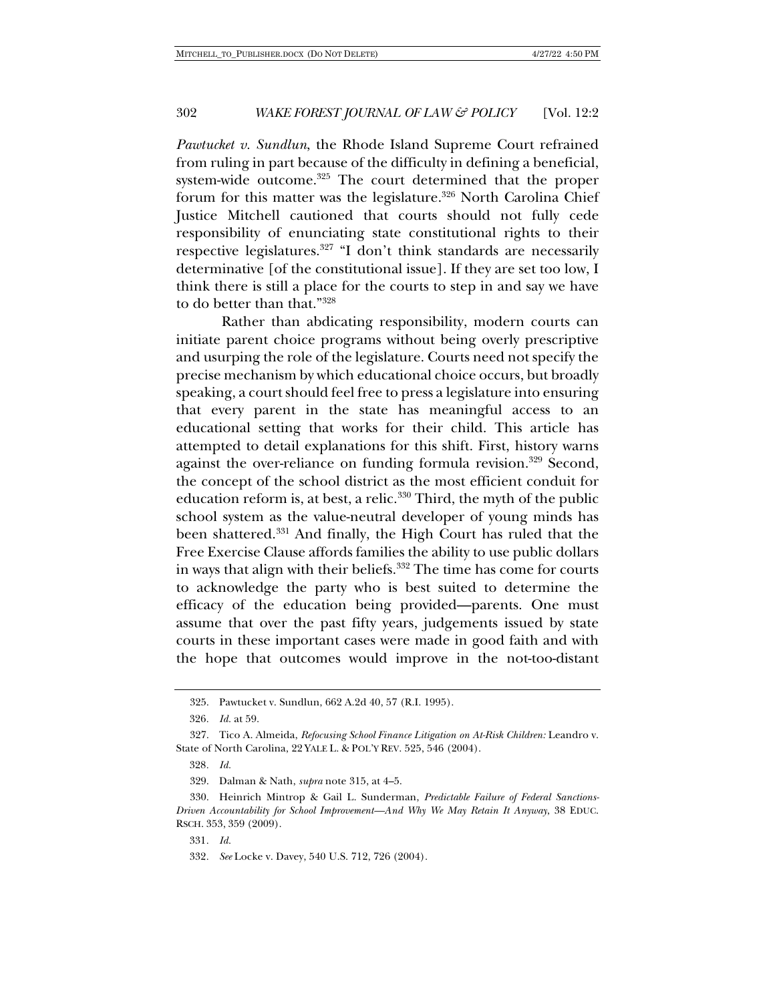*Pawtucket v. Sundlun*, the Rhode Island Supreme Court refrained from ruling in part because of the difficulty in defining a beneficial, system-wide outcome.<sup>325</sup> The court determined that the proper forum for this matter was the legislature.<sup>326</sup> North Carolina Chief Justice Mitchell cautioned that courts should not fully cede responsibility of enunciating state constitutional rights to their respective legislatures.327 "I don't think standards are necessarily determinative [of the constitutional issue]. If they are set too low, I think there is still a place for the courts to step in and say we have to do better than that."328

Rather than abdicating responsibility, modern courts can initiate parent choice programs without being overly prescriptive and usurping the role of the legislature. Courts need not specify the precise mechanism by which educational choice occurs, but broadly speaking, a court should feel free to press a legislature into ensuring that every parent in the state has meaningful access to an educational setting that works for their child. This article has attempted to detail explanations for this shift. First, history warns against the over-reliance on funding formula revision.<sup>329</sup> Second, the concept of the school district as the most efficient conduit for education reform is, at best, a relic.<sup>330</sup> Third, the myth of the public school system as the value-neutral developer of young minds has been shattered.331 And finally, the High Court has ruled that the Free Exercise Clause affords families the ability to use public dollars in ways that align with their beliefs.<sup>332</sup> The time has come for courts to acknowledge the party who is best suited to determine the efficacy of the education being provided—parents. One must assume that over the past fifty years, judgements issued by state courts in these important cases were made in good faith and with the hope that outcomes would improve in the not-too-distant

<sup>325.</sup> Pawtucket v. Sundlun, 662 A.2d 40, 57 (R.I. 1995).

<sup>326</sup>*. Id.* at 59.

<sup>327.</sup> Tico A. Almeida, *Refocusing School Finance Litigation on At-Risk Children:* Leandro v. State of North Carolina, 22 YALE L. & POL'Y REV. 525, 546 (2004).

<sup>328</sup>*. Id.*

<sup>329.</sup> Dalman & Nath, *supra* note 315, at 4–5.

<sup>330.</sup> Heinrich Mintrop & Gail L. Sunderman, *Predictable Failure of Federal Sanctions-Driven Accountability for School Improvement—And Why We May Retain It Anyway*, 38 EDUC. RSCH. 353, 359 (2009).

<sup>331</sup>*. Id.* 

<sup>332</sup>*. See* Locke v. Davey, 540 U.S. 712, 726 (2004).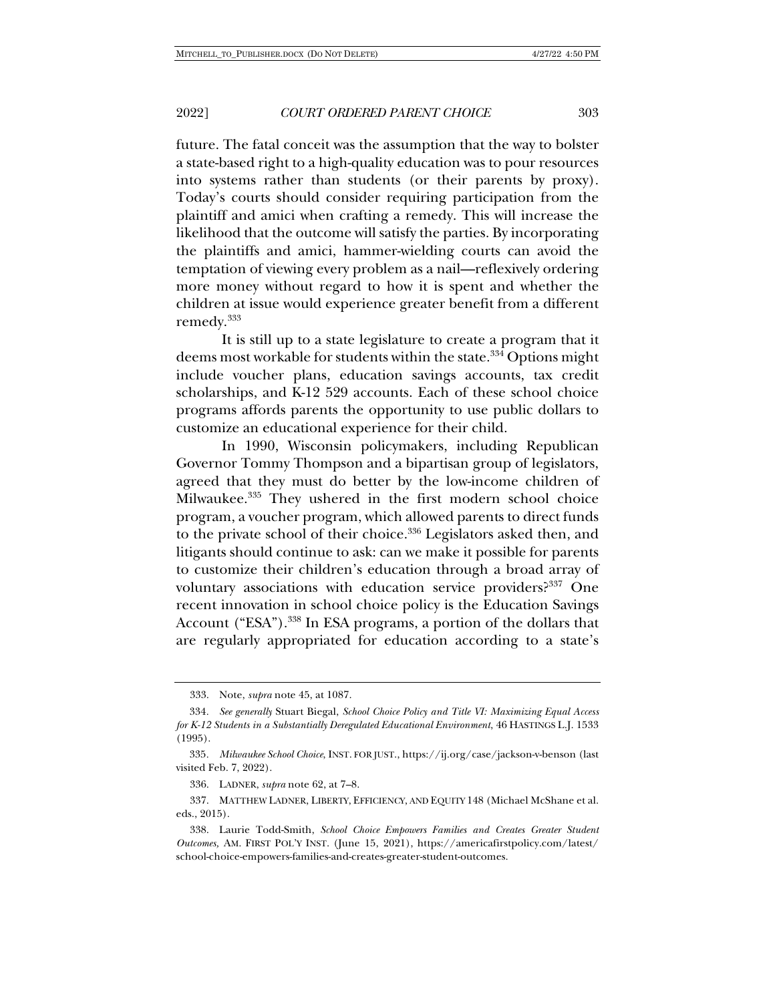future. The fatal conceit was the assumption that the way to bolster a state-based right to a high-quality education was to pour resources into systems rather than students (or their parents by proxy). Today's courts should consider requiring participation from the plaintiff and amici when crafting a remedy. This will increase the likelihood that the outcome will satisfy the parties. By incorporating the plaintiffs and amici, hammer-wielding courts can avoid the temptation of viewing every problem as a nail—reflexively ordering more money without regard to how it is spent and whether the children at issue would experience greater benefit from a different remedy.333

It is still up to a state legislature to create a program that it deems most workable for students within the state.<sup>334</sup> Options might include voucher plans, education savings accounts, tax credit scholarships, and K-12 529 accounts. Each of these school choice programs affords parents the opportunity to use public dollars to customize an educational experience for their child.

In 1990, Wisconsin policymakers, including Republican Governor Tommy Thompson and a bipartisan group of legislators, agreed that they must do better by the low-income children of Milwaukee.335 They ushered in the first modern school choice program, a voucher program, which allowed parents to direct funds to the private school of their choice.<sup>336</sup> Legislators asked then, and litigants should continue to ask: can we make it possible for parents to customize their children's education through a broad array of voluntary associations with education service providers?<sup>337</sup> One recent innovation in school choice policy is the Education Savings Account ("ESA").<sup>338</sup> In ESA programs, a portion of the dollars that are regularly appropriated for education according to a state's

<sup>333.</sup> Note, *supra* note 45, at 1087.

<sup>334</sup>*. See generally* Stuart Biegal, *School Choice Policy and Title VI: Maximizing Equal Access for K-12 Students in a Substantially Deregulated Educational Environment*, 46 HASTINGS L.J. 1533 (1995).

<sup>335</sup>*. Milwaukee School Choice*, INST. FOR JUST., https://ij.org/case/jackson-v-benson (last visited Feb. 7, 2022).

<sup>336.</sup> LADNER, *supra* note 62, at 7–8.

<sup>337.</sup> MATTHEW LADNER, LIBERTY, EFFICIENCY, AND EQUITY 148 (Michael McShane et al. eds., 2015).

<sup>338.</sup> Laurie Todd-Smith, *School Choice Empowers Families and Creates Greater Student Outcomes,* AM. FIRST POL'Y INST. (June 15, 2021), https://americafirstpolicy.com/latest/ school-choice-empowers-families-and-creates-greater-student-outcomes.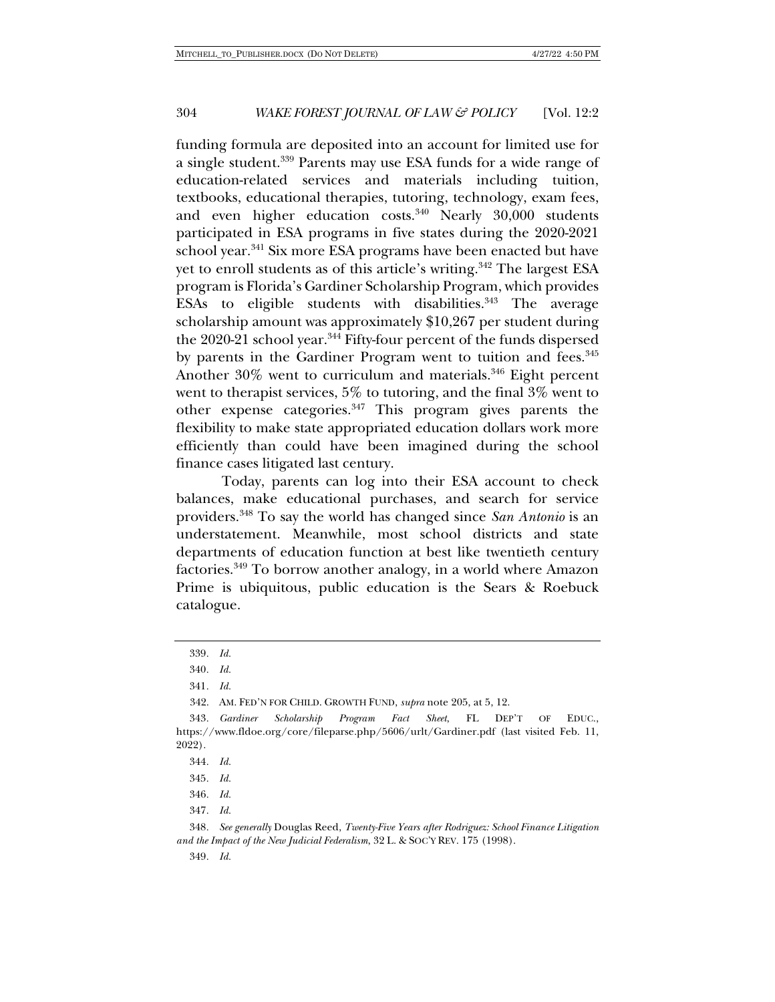funding formula are deposited into an account for limited use for a single student.339 Parents may use ESA funds for a wide range of education-related services and materials including tuition, textbooks, educational therapies, tutoring, technology, exam fees, and even higher education costs.<sup>340</sup> Nearly 30,000 students participated in ESA programs in five states during the 2020-2021 school year.<sup>341</sup> Six more ESA programs have been enacted but have yet to enroll students as of this article's writing.<sup>342</sup> The largest ESA program is Florida's Gardiner Scholarship Program, which provides ESAs to eligible students with disabilities.<sup>343</sup> The average scholarship amount was approximately \$10,267 per student during the 2020-21 school year.<sup>344</sup> Fifty-four percent of the funds dispersed by parents in the Gardiner Program went to tuition and fees.<sup>345</sup> Another 30% went to curriculum and materials.<sup>346</sup> Eight percent went to therapist services, 5% to tutoring, and the final  $3\%$  went to other expense categories.347 This program gives parents the flexibility to make state appropriated education dollars work more efficiently than could have been imagined during the school finance cases litigated last century.

Today, parents can log into their ESA account to check balances, make educational purchases, and search for service providers.348 To say the world has changed since *San Antonio* is an understatement. Meanwhile, most school districts and state departments of education function at best like twentieth century factories.349 To borrow another analogy, in a world where Amazon Prime is ubiquitous, public education is the Sears & Roebuck catalogue.

342. AM. FED'N FOR CHILD. GROWTH FUND, *supra* note 205, at 5, 12.

343*. Gardiner Scholarship Program Fact Sheet*, FL DEP'T OF EDUC., https://www.fldoe.org/core/fileparse.php/5606/urlt/Gardiner.pdf (last visited Feb. 11, 2022).

344*. Id.*

345*. Id.*

346*. Id.*

347*. Id.*

348*. See generally* Douglas Reed, *Twenty-Five Years after Rodriguez: School Finance Litigation and the Impact of the New Judicial Federalism*, 32 L. & SOC'Y REV. 175 (1998).

349*. Id.*

<sup>339</sup>*. Id.*

<sup>340</sup>*. Id.*

<sup>341</sup>*. Id.*